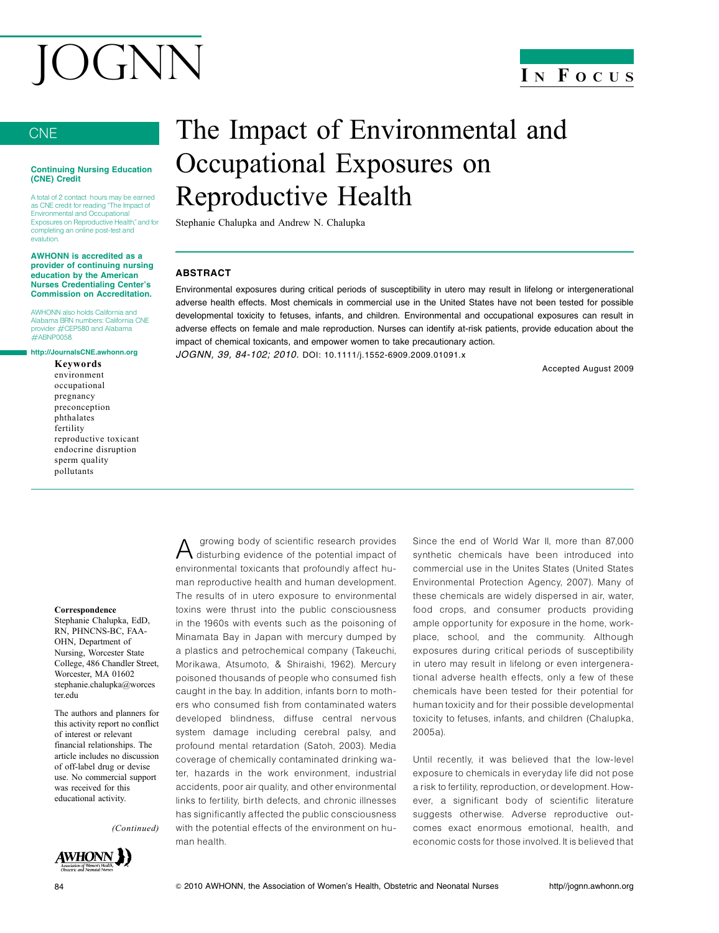



## **CNE**

#### Continuing Nursing Education (CNE) Credit

A total of 2 contact hours may be earned as CNE credit for reading "The Impact of Environmental and Occupational Exposures on Reproductive Health,''and for completing an online post-test and evalution.

AWHONN is accredited as a provider of continuing nursing education by the American Nurses Credentialing Center's Commission on Accreditation.

AWHONN also holds California and Alabama BRN numbers: California CNE provider #CEP580 and Alabama  $\#$ ABNP0058

#### **http://JournalsCNE.awhonn.org**

Keywords environment occupational pregnancy preconception phthalates fertility reproductive toxicant endocrine disruption sperm quality pollutants

# The Impact of Environmental and Occupational Exposures on Reproductive Health

Stephanie Chalupka and Andrew N. Chalupka

## ABSTRACT

Environmental exposures during critical periods of susceptibility in utero may result in lifelong or intergenerational adverse health effects. Most chemicals in commercial use in the United States have not been tested for possible developmental toxicity to fetuses, infants, and children. Environmental and occupational exposures can result in adverse effects on female and male reproduction. Nurses can identify at-risk patients, provide education about the impact of chemical toxicants, and empower women to take precautionary action. JOGNN, 39, 84-102; 2010. DOI: 10.1111/j.1552-6909.2009.01091.x

Accepted August 2009

#### Correspondence

Stephanie Chalupka, EdD, RN, PHNCNS-BC, FAA-OHN, Department of Nursing, Worcester State College, 486 Chandler Street, Worcester, MA 01602 [stephanie.chalupka@worces](i:/BWUS/jogn/1091/stephanie.chalupka@worcester.edu) [ter.edu](i:/BWUS/jogn/1091/stephanie.chalupka@worcester.edu)

The authors and planners for this activity report no conflict of interest or relevant financial relationships. The article includes no discussion of off-label drug or devise use. No commercial support was received for this educational activity.

(Continued)



 $A$  growing body of scientific research provides disturbing evidence of the potential impact of environmental toxicants that profoundly affect human reproductive health and human development. The results of in utero exposure to environmental toxins were thrust into the public consciousness in the 1960s with events such as the poisoning of Minamata Bay in Japan with mercury dumped by a plastics and petrochemical company (Takeuchi, Morikawa, Atsumoto, & Shiraishi, 1962). Mercury poisoned thousands of people who consumed fish caught in the bay. In addition, infants born to mothers who consumed fish from contaminated waters developed blindness, diffuse central nervous system damage including cerebral palsy, and profound mental retardation (Satoh, 2003). Media coverage of chemically contaminated drinking water, hazards in the work environment, industrial accidents, poor air quality, and other environmental links to fertility, birth defects, and chronic illnesses has significantly affected the public consciousness with the potential effects of the environment on human health.

Since the end of World War II, more than 87,000 synthetic chemicals have been introduced into commercial use in the Unites States (United States Environmental Protection Agency, 2007). Many of these chemicals are widely dispersed in air, water, food crops, and consumer products providing ample opportunity for exposure in the home, workplace, school, and the community. Although exposures during critical periods of susceptibility in utero may result in lifelong or even intergenerational adverse health effects, only a few of these chemicals have been tested for their potential for human toxicity and for their possible developmental toxicity to fetuses, infants, and children (Chalupka, 2005a).

Until recently, it was believed that the low-level exposure to chemicals in everyday life did not pose a risk to fertility, reproduction, or development. However, a significant body of scientific literature suggests otherwise. Adverse reproductive outcomes exact enormous emotional, health, and economic costs for those involved. It is believed that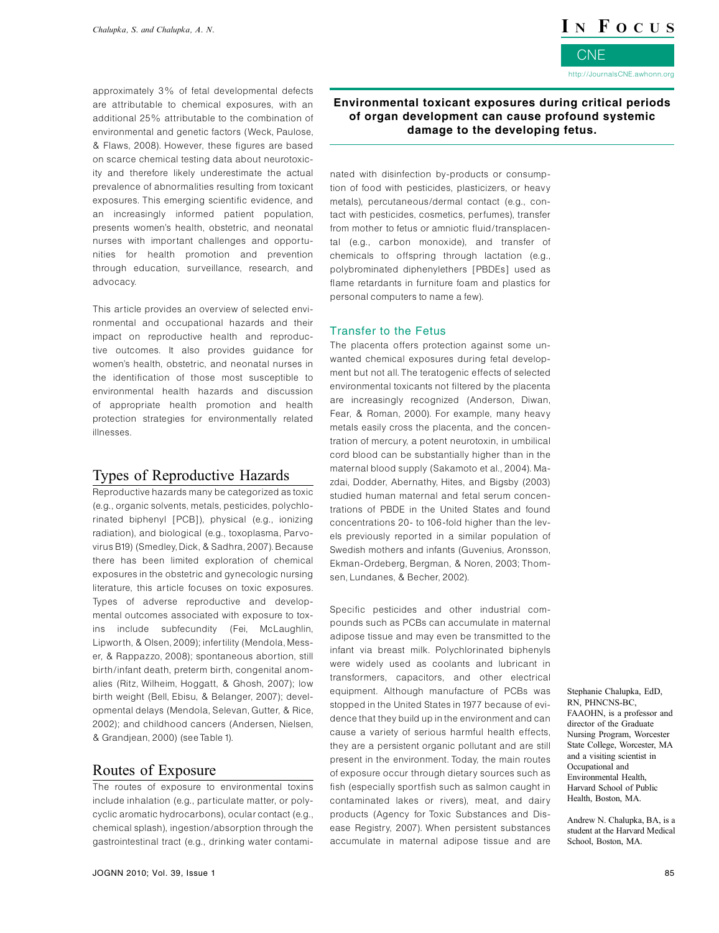approximately 3% of fetal developmental defects are attributable to chemical exposures, with an additional 25% attributable to the combination of environmental and genetic factors (Weck, Paulose, & Flaws, 2008). However, these figures are based on scarce chemical testing data about neurotoxicity and therefore likely underestimate the actual prevalence of abnormalities resulting from toxicant exposures. This emerging scientific evidence, and an increasingly informed patient population, presents women's health, obstetric, and neonatal nurses with important challenges and opportunities for health promotion and prevention through education, surveillance, research, and advocacy.

This article provides an overview of selected environmental and occupational hazards and their impact on reproductive health and reproductive outcomes. It also provides guidance for women's health, obstetric, and neonatal nurses in the identification of those most susceptible to environmental health hazards and discussion of appropriate health promotion and health protection strategies for environmentally related illnesses.

## Types of Reproductive Hazards

Reproductive hazards many be categorized as toxic (e.g., organic solvents, metals, pesticides, polychlorinated biphenyl [PCB]), physical (e.g., ionizing radiation), and biological (e.g., toxoplasma, Parvovirus B19) (Smedley, Dick, & Sadhra, 2007). Because there has been limited exploration of chemical exposures in the obstetric and gynecologic nursing literature, this article focuses on toxic exposures. Types of adverse reproductive and developmental outcomes associated with exposure to toxins include subfecundity (Fei, McLaughlin, Lipworth, & Olsen, 2009); infertility (Mendola, Messer, & Rappazzo, 2008); spontaneous abortion, still birth/infant death, preterm birth, congenital anomalies (Ritz, Wilheim, Hoggatt, & Ghosh, 2007); low birth weight (Bell, Ebisu, & Belanger, 2007); developmental delays (Mendola, Selevan, Gutter, & Rice, 2002); and childhood cancers (Andersen, Nielsen, & Grandjean, 2000) (see Table 1).

## Routes of Exposure

The routes of exposure to environmental toxins include inhalation (e.g., particulate matter, or polycyclic aromatic hydrocarbons), ocular contact (e.g., chemical splash), ingestion/absorption through the gastrointestinal tract (e.g., drinking water contami-

## Environmental toxicant exposures during critical periods of organ development can cause profound systemic damage to the developing fetus.

nated with disinfection by-products or consumption of food with pesticides, plasticizers, or heavy metals), percutaneous/dermal contact (e.g., contact with pesticides, cosmetics, perfumes), transfer from mother to fetus or amniotic fluid/transplacental (e.g., carbon monoxide), and transfer of chemicals to offspring through lactation (e.g., polybrominated diphenylethers [PBDEs] used as flame retardants in furniture foam and plastics for personal computers to name a few).

### Transfer to the Fetus

The placenta offers protection against some unwanted chemical exposures during fetal development but not all. The teratogenic effects of selected environmental toxicants not filtered by the placenta are increasingly recognized (Anderson, Diwan, Fear, & Roman, 2000). For example, many heavy metals easily cross the placenta, and the concentration of mercury, a potent neurotoxin, in umbilical cord blood can be substantially higher than in the maternal blood supply (Sakamoto et al., 2004). Mazdai, Dodder, Abernathy, Hites, and Bigsby (2003) studied human maternal and fetal serum concentrations of PBDE in the United States and found concentrations 20- to 106-fold higher than the levels previously reported in a similar population of Swedish mothers and infants (Guvenius, Aronsson, Ekman-Ordeberg, Bergman, & Noren, 2003; Thomsen, Lundanes, & Becher, 2002).

Specific pesticides and other industrial compounds such as PCBs can accumulate in maternal adipose tissue and may even be transmitted to the infant via breast milk. Polychlorinated biphenyls were widely used as coolants and lubricant in transformers, capacitors, and other electrical equipment. Although manufacture of PCBs was stopped in the United States in 1977 because of evidence that they build up in the environment and can cause a variety of serious harmful health effects, they are a persistent organic pollutant and are still present in the environment. Today, the main routes of exposure occur through dietary sources such as fish (especially sportfish such as salmon caught in contaminated lakes or rivers), meat, and dairy products (Agency for Toxic Substances and Disease Registry, 2007). When persistent substances accumulate in maternal adipose tissue and are

Stephanie Chalupka, EdD, RN, PHNCNS-BC, FAAOHN, is a professor and director of the Graduate Nursing Program, Worcester State College, Worcester, MA and a visiting scientist in Occupational and Environmental Health, Harvard School of Public Health, Boston, MA.

Andrew N. Chalupka, BA, is a student at the Harvard Medical School, Boston, MA.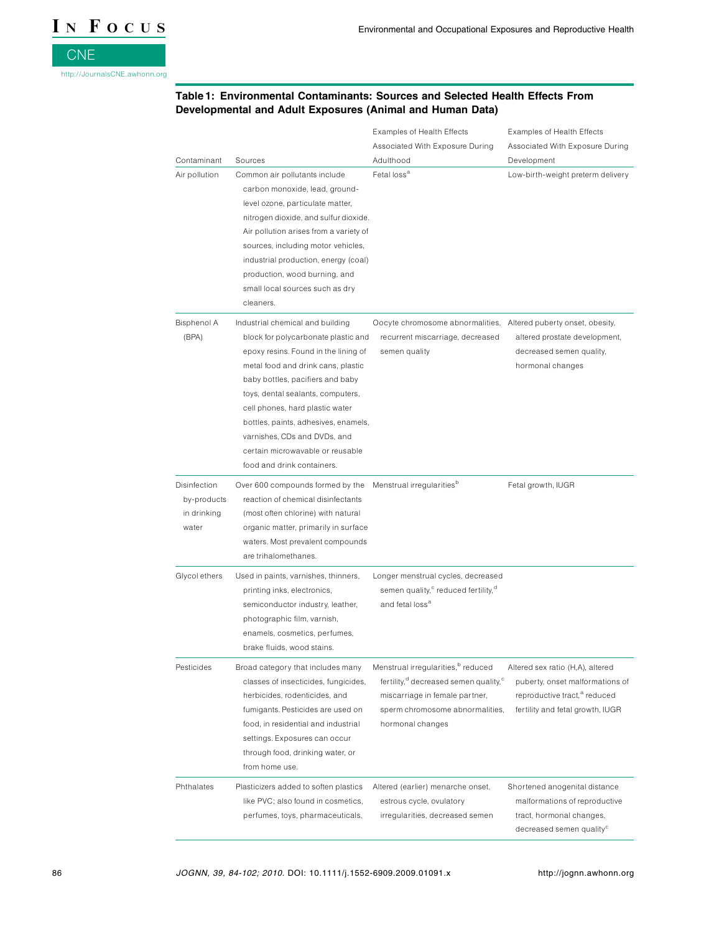**CNE** 

http://JournalsCNE.awhonn.org

## Table 1: Environmental Contaminants: Sources and Selected Health Effects From Developmental and Adult Exposures (Animal and Human Data)

| Contaminant<br>Air pollution                        | Sources<br>Common air pollutants include                                                                                                                                                                                                                                                                                                                                                                    | Examples of Health Effects<br>Associated With Exposure During<br>Adulthood<br>Fetal loss <sup>a</sup>                                                                                                    | Examples of Health Effects<br>Associated With Exposure During<br>Development<br>Low-birth-weight preterm delivery                                   |
|-----------------------------------------------------|-------------------------------------------------------------------------------------------------------------------------------------------------------------------------------------------------------------------------------------------------------------------------------------------------------------------------------------------------------------------------------------------------------------|----------------------------------------------------------------------------------------------------------------------------------------------------------------------------------------------------------|-----------------------------------------------------------------------------------------------------------------------------------------------------|
|                                                     | carbon monoxide, lead, ground-<br>level ozone, particulate matter,<br>nitrogen dioxide, and sulfur dioxide.<br>Air pollution arises from a variety of<br>sources, including motor vehicles,<br>industrial production, energy (coal)<br>production, wood burning, and<br>small local sources such as dry<br>cleaners.                                                                                        |                                                                                                                                                                                                          |                                                                                                                                                     |
| <b>Bisphenol A</b><br>(BPA)                         | Industrial chemical and building<br>block for polycarbonate plastic and<br>epoxy resins. Found in the lining of<br>metal food and drink cans, plastic<br>baby bottles, pacifiers and baby<br>toys, dental sealants, computers,<br>cell phones, hard plastic water<br>bottles, paints, adhesives, enamels,<br>varnishes, CDs and DVDs, and<br>certain microwavable or reusable<br>food and drink containers. | Oocyte chromosome abnormalities, Altered puberty onset, obesity,<br>recurrent miscarriage, decreased<br>semen quality                                                                                    | altered prostate development,<br>decreased semen quality,<br>hormonal changes                                                                       |
| Disinfection<br>by-products<br>in drinking<br>water | Over 600 compounds formed by the<br>reaction of chemical disinfectants<br>(most often chlorine) with natural<br>organic matter, primarily in surface<br>waters. Most prevalent compounds<br>are trihalomethanes.                                                                                                                                                                                            | Menstrual irregularities <sup>b</sup>                                                                                                                                                                    | Fetal growth, IUGR                                                                                                                                  |
| Glycol ethers                                       | Used in paints, varnishes, thinners,<br>printing inks, electronics,<br>semiconductor industry, leather,<br>photographic film, varnish,<br>enamels, cosmetics, perfumes,<br>brake fluids, wood stains.                                                                                                                                                                                                       | Longer menstrual cycles, decreased<br>semen quality, <sup>c</sup> reduced fertility, <sup>d</sup><br>and fetal loss <sup>a</sup>                                                                         |                                                                                                                                                     |
| Pesticides                                          | Broad category that includes many<br>classes of insecticides, fungicides,<br>herbicides, rodenticides, and<br>fumigants. Pesticides are used on<br>food, in residential and industrial<br>settings. Exposures can occur<br>through food, drinking water, or<br>from home use.                                                                                                                               | Menstrual irregularities, <sup>b</sup> reduced<br>fertility, <sup>d</sup> decreased semen quality, <sup>c</sup><br>miscarriage in female partner,<br>sperm chromosome abnormalities,<br>hormonal changes | Altered sex ratio (H,A), altered<br>puberty, onset malformations of<br>reproductive tract, <sup>a</sup> reduced<br>fertility and fetal growth, IUGR |
| Phthalates                                          | Plasticizers added to soften plastics<br>like PVC; also found in cosmetics,<br>perfumes, toys, pharmaceuticals,                                                                                                                                                                                                                                                                                             | Altered (earlier) menarche onset,<br>estrous cycle, ovulatory<br>irregularities, decreased semen                                                                                                         | Shortened anogenital distance<br>malformations of reproductive<br>tract, hormonal changes,<br>decreased semen quality <sup>c</sup>                  |

86 JOGNN, 39, 84-102; 2010. DOI: 10.1111/j.1552-6909.2009.01091.x http://jognn.awhonn.org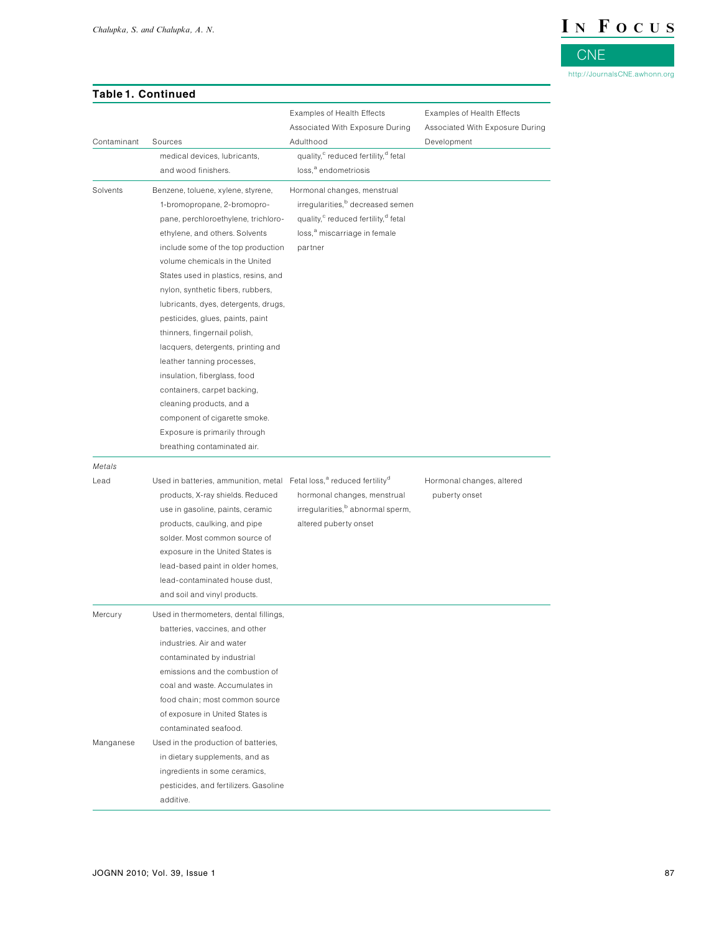## Table 1. Continued



|                      |                                                                                                                                                                                                                                                                                                                                                                                                                                                                                                                                                                                                                                                                             | <b>Examples of Health Effects</b><br>Associated With Exposure During                                                                                                                              | Examples of Health Effects<br>Associated With Exposure During |
|----------------------|-----------------------------------------------------------------------------------------------------------------------------------------------------------------------------------------------------------------------------------------------------------------------------------------------------------------------------------------------------------------------------------------------------------------------------------------------------------------------------------------------------------------------------------------------------------------------------------------------------------------------------------------------------------------------------|---------------------------------------------------------------------------------------------------------------------------------------------------------------------------------------------------|---------------------------------------------------------------|
| Contaminant          | Sources<br>medical devices, lubricants,<br>and wood finishers.                                                                                                                                                                                                                                                                                                                                                                                                                                                                                                                                                                                                              | Adulthood<br>quality, <sup>c</sup> reduced fertility, <sup>d</sup> fetal<br>loss, <sup>a</sup> endometriosis                                                                                      | Development                                                   |
| Solvents             | Benzene, toluene, xylene, styrene,<br>1-bromopropane, 2-bromopro-<br>pane, perchloroethylene, trichloro-<br>ethylene, and others. Solvents<br>include some of the top production<br>volume chemicals in the United<br>States used in plastics, resins, and<br>nylon, synthetic fibers, rubbers,<br>lubricants, dyes, detergents, drugs,<br>pesticides, glues, paints, paint<br>thinners, fingernail polish,<br>lacquers, detergents, printing and<br>leather tanning processes,<br>insulation, fiberglass, food<br>containers, carpet backing,<br>cleaning products, and a<br>component of cigarette smoke.<br>Exposure is primarily through<br>breathing contaminated air. | Hormonal changes, menstrual<br>irregularities, <sup>b</sup> decreased semen<br>quality, <sup>c</sup> reduced fertility, <sup>d</sup> fetal<br>loss, <sup>a</sup> miscarriage in female<br>partner |                                                               |
| Metals               |                                                                                                                                                                                                                                                                                                                                                                                                                                                                                                                                                                                                                                                                             |                                                                                                                                                                                                   |                                                               |
| Lead                 | Used in batteries, ammunition, metal Fetal loss, <sup>a</sup> reduced fertility <sup>d</sup><br>products, X-ray shields. Reduced<br>use in gasoline, paints, ceramic<br>products, caulking, and pipe<br>solder. Most common source of<br>exposure in the United States is<br>lead-based paint in older homes,<br>lead-contaminated house dust,<br>and soil and vinyl products.                                                                                                                                                                                                                                                                                              | hormonal changes, menstrual<br>irregularities, <sup>b</sup> abnormal sperm,<br>altered puberty onset                                                                                              | Hormonal changes, altered<br>puberty onset                    |
| Mercury<br>Manganese | Used in thermometers, dental fillings,<br>batteries, vaccines, and other<br>industries. Air and water<br>contaminated by industrial<br>emissions and the combustion of<br>coal and waste. Accumulates in<br>food chain: most common source<br>of exposure in United States is<br>contaminated seafood.<br>Used in the production of batteries,<br>in dietary supplements, and as<br>ingredients in some ceramics,<br>pesticides, and fertilizers. Gasoline<br>additive.                                                                                                                                                                                                     |                                                                                                                                                                                                   |                                                               |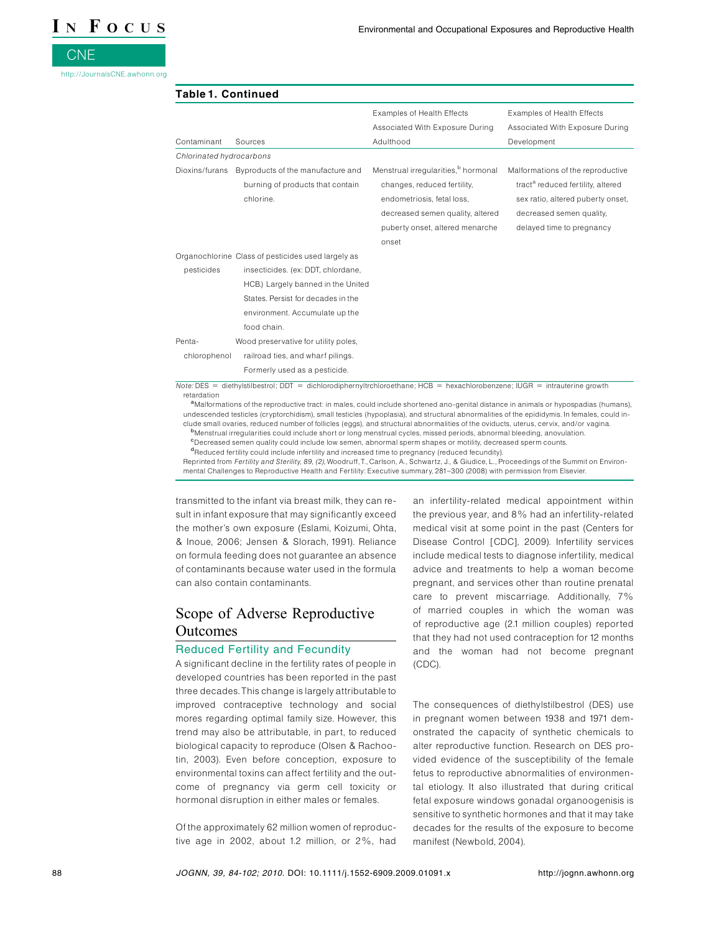**CN<sub>E</sub>** 

http://JournalsCNE.awhonn.org

|                          |                                                                                                                            | <b>Examples of Health Effects</b>               | <b>Examples of Health Effects</b>             |
|--------------------------|----------------------------------------------------------------------------------------------------------------------------|-------------------------------------------------|-----------------------------------------------|
|                          |                                                                                                                            | Associated With Exposure During                 | Associated With Exposure During               |
| Contaminant              | Sources                                                                                                                    | Adulthood                                       | Development                                   |
| Chlorinated hydrocarbons |                                                                                                                            |                                                 |                                               |
|                          | Dioxins/furans Byproducts of the manufacture and                                                                           | Menstrual irregularities, <sup>b</sup> hormonal | Malformations of the reproductive             |
|                          | burning of products that contain                                                                                           | changes, reduced fertility,                     | tract <sup>a</sup> reduced fertility, altered |
|                          | chlorine.                                                                                                                  | endometriosis, fetal loss,                      | sex ratio, altered puberty onset,             |
|                          |                                                                                                                            | decreased semen quality, altered                | decreased semen quality,                      |
|                          |                                                                                                                            | puberty onset, altered menarche                 | delayed time to pregnancy                     |
|                          |                                                                                                                            | onset                                           |                                               |
|                          | Organochlorine Class of pesticides used largely as                                                                         |                                                 |                                               |
| pesticides               | insecticides. (ex: DDT, chlordane,                                                                                         |                                                 |                                               |
|                          | HCB.) Largely banned in the United                                                                                         |                                                 |                                               |
|                          | States. Persist for decades in the                                                                                         |                                                 |                                               |
|                          | environment. Accumulate up the                                                                                             |                                                 |                                               |
|                          | food chain.                                                                                                                |                                                 |                                               |
| Penta-                   | Wood preservative for utility poles,                                                                                       |                                                 |                                               |
| chlorophenol             | railroad ties, and wharf pilings.                                                                                          |                                                 |                                               |
|                          | Formerly used as a pesticide.                                                                                              |                                                 |                                               |
| retardation              | Note: DES = diethylstilbestrol; DDT = dichlorodiphernyltrchloroethane; HCB = hexachlorobenzene; IUGR = intrauterine growth |                                                 |                                               |

Table 1. Continued

retardation<br><sup>a</sup>Malformations of the reproductive tract: in males, could include shortened ano-genital distance in animals or hypospadias (humans<u>)</u>,

undescended testicles (cryptorchidism), small testicles (hypoplasia), and structural abnormalities of the epididymis. In females, could include small ovaries, reduced number of follicles (eggs), and structural abnormalities of the oviducts, uterus, cervix, and/or vagina.<br><sup>b</sup>Menstrual irregularities could include short or long menstrual cycles, missed periods

c Decreased semen quality could include low semen, abnormal sperm shapes or motility, decreased sperm counts.

<sup>d</sup>Reduced fertility could include infertility and increased time to pregnancy (reduced fecundity).

Reprinted from Fertility and Sterility, 89, (2), Woodruff, T., Carlson, A., Schwartz, J., & Giudice, L., Proceedings of the Summit on Environmental Challenges to Reproductive Health and Fertility: Executive summary, 281-300 (2008) with permission from Elsevier.

transmitted to the infant via breast milk, they can result in infant exposure that may significantly exceed the mother's own exposure (Eslami, Koizumi, Ohta, & Inoue, 2006; Jensen & Slorach, 1991). Reliance on formula feeding does not guarantee an absence of contaminants because water used in the formula can also contain contaminants.

# Scope of Adverse Reproductive **Outcomes**

#### Reduced Fertility and Fecundity

A significant decline in the fertility rates of people in developed countries has been reported in the past three decades.This change is largely attributable to improved contraceptive technology and social mores regarding optimal family size. However, this trend may also be attributable, in part, to reduced biological capacity to reproduce (Olsen & Rachootin, 2003). Even before conception, exposure to environmental toxins can affect fertility and the outcome of pregnancy via germ cell toxicity or hormonal disruption in either males or females.

Of the approximately 62 million women of reproductive age in 2002, about 1.2 million, or 2%, had

an infertility-related medical appointment within the previous year, and 8% had an infertility-related medical visit at some point in the past (Centers for Disease Control [CDC], 2009). Infertility services include medical tests to diagnose infertility, medical advice and treatments to help a woman become pregnant, and services other than routine prenatal care to prevent miscarriage. Additionally, 7% of married couples in which the woman was of reproductive age (2.1 million couples) reported that they had not used contraception for 12 months and the woman had not become pregnant (CDC).

The consequences of diethylstilbestrol (DES) use in pregnant women between 1938 and 1971 demonstrated the capacity of synthetic chemicals to alter reproductive function. Research on DES provided evidence of the susceptibility of the female fetus to reproductive abnormalities of environmental etiology. It also illustrated that during critical fetal exposure windows gonadal organoogenisis is sensitive to synthetic hormones and that it may take decades for the results of the exposure to become manifest (Newbold, 2004).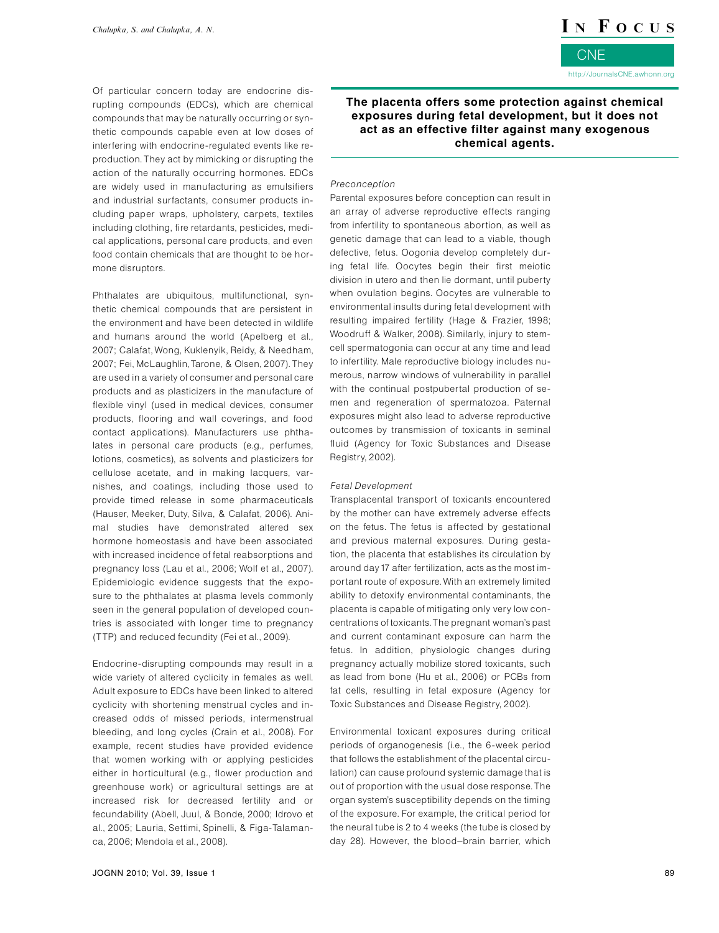## Of particular concern today are endocrine disrupting compounds (EDCs), which are chemical compounds that may be naturally occurring or synthetic compounds capable even at low doses of interfering with endocrine-regulated events like reproduction. They act by mimicking or disrupting the action of the naturally occurring hormones. EDCs are widely used in manufacturing as emulsifiers and industrial surfactants, consumer products including paper wraps, upholstery, carpets, textiles including clothing, fire retardants, pesticides, medical applications, personal care products, and even food contain chemicals that are thought to be hormone disruptors.

Phthalates are ubiquitous, multifunctional, synthetic chemical compounds that are persistent in the environment and have been detected in wildlife and humans around the world (Apelberg et al., 2007; Calafat, Wong, Kuklenyik, Reidy, & Needham, 2007; Fei, McLaughlin, Tarone, & Olsen, 2007). They are used in a variety of consumer and personal care products and as plasticizers in the manufacture of flexible vinyl (used in medical devices, consumer products, flooring and wall coverings, and food contact applications). Manufacturers use phthalates in personal care products (e.g., perfumes, lotions, cosmetics), as solvents and plasticizers for cellulose acetate, and in making lacquers, varnishes, and coatings, including those used to provide timed release in some pharmaceuticals (Hauser, Meeker, Duty, Silva, & Calafat, 2006). Animal studies have demonstrated altered sex hormone homeostasis and have been associated with increased incidence of fetal reabsorptions and pregnancy loss (Lau et al., 2006; Wolf et al., 2007). Epidemiologic evidence suggests that the exposure to the phthalates at plasma levels commonly seen in the general population of developed countries is associated with longer time to pregnancy (TTP) and reduced fecundity (Fei et al., 2009).

Endocrine-disrupting compounds may result in a wide variety of altered cyclicity in females as well. Adult exposure to EDCs have been linked to altered cyclicity with shortening menstrual cycles and increased odds of missed periods, intermenstrual bleeding, and long cycles (Crain et al., 2008). For example, recent studies have provided evidence that women working with or applying pesticides either in horticultural (e.g., flower production and greenhouse work) or agricultural settings are at increased risk for decreased fertility and or fecundability (Abell, Juul, & Bonde, 2000; Idrovo et al., 2005; Lauria, Settimi, Spinelli, & Figa-Talamanca, 2006; Mendola et al., 2008).

JOGNN 2010; Vol. 39, Issue 1 89

The placenta offers some protection against chemical exposures during fetal development, but it does not act as an effective filter against many exogenous chemical agents.

#### Preconception

Parental exposures before conception can result in an array of adverse reproductive effects ranging from infertility to spontaneous abortion, as well as genetic damage that can lead to a viable, though defective, fetus. Oogonia develop completely during fetal life. Oocytes begin their first meiotic division in utero and then lie dormant, until puberty when ovulation begins. Oocytes are vulnerable to environmental insults during fetal development with resulting impaired fertility (Hage & Frazier, 1998; Woodruff & Walker, 2008). Similarly, injury to stemcell spermatogonia can occur at any time and lead to infertility. Male reproductive biology includes numerous, narrow windows of vulnerability in parallel with the continual postpubertal production of semen and regeneration of spermatozoa. Paternal exposures might also lead to adverse reproductive outcomes by transmission of toxicants in seminal fluid (Agency for Toxic Substances and Disease Registry, 2002).

#### Fetal Development

Transplacental transport of toxicants encountered by the mother can have extremely adverse effects on the fetus. The fetus is affected by gestational and previous maternal exposures. During gestation, the placenta that establishes its circulation by around day 17 after fertilization, acts as the most important route of exposure. With an extremely limited ability to detoxify environmental contaminants, the placenta is capable of mitigating only very low concentrations of toxicants.The pregnant woman's past and current contaminant exposure can harm the fetus. In addition, physiologic changes during pregnancy actually mobilize stored toxicants, such as lead from bone (Hu et al., 2006) or PCBs from fat cells, resulting in fetal exposure (Agency for Toxic Substances and Disease Registry, 2002).

Environmental toxicant exposures during critical periods of organogenesis (i.e., the 6-week period that follows the establishment of the placental circulation) can cause profound systemic damage that is out of proportion with the usual dose response. The organ system's susceptibility depends on the timing of the exposure. For example, the critical period for the neural tube is 2 to 4 weeks (the tube is closed by day 28). However, the blood-brain barrier, which

# Chalupka, S. and Chalupka, A. N.  $\blacksquare$   $\blacksquare$   $\blacksquare$   $\blacksquare$   $\blacksquare$   $\blacksquare$   $\blacksquare$   $\blacksquare$   $\blacksquare$   $\blacksquare$   $\blacksquare$   $\blacksquare$   $\blacksquare$   $\blacksquare$   $\blacksquare$   $\blacksquare$   $\blacksquare$   $\blacksquare$   $\blacksquare$   $\blacksquare$   $\blacksquare$   $\blacksquare$   $\blacksquare$   $\blacksquare$   $\blacksquare$   $\blacksquare$   $\blacksquare$ **CNF** http://JournalsCNE.awhonn.org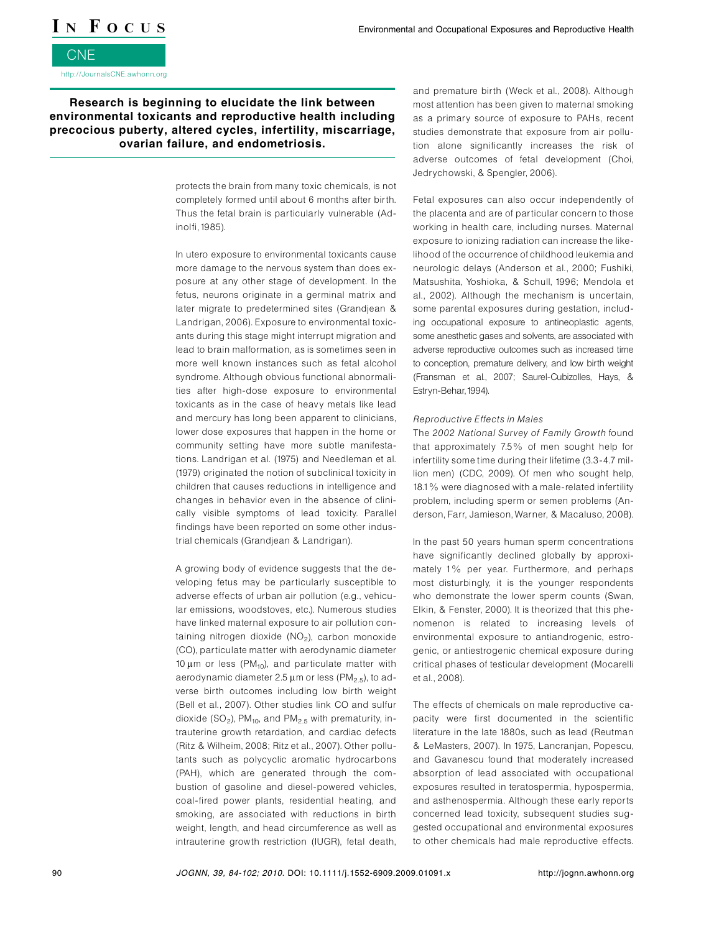**CNF** 

http://JournalsCNE.awhonn.org

Research is beginning to elucidate the link between environmental toxicants and reproductive health including precocious puberty, altered cycles, infertility, miscarriage, ovarian failure, and endometriosis.

> protects the brain from many toxic chemicals, is not completely formed until about 6 months after birth. Thus the fetal brain is particularly vulnerable (Adinolfi, 1985).

> In utero exposure to environmental toxicants cause more damage to the nervous system than does exposure at any other stage of development. In the fetus, neurons originate in a germinal matrix and later migrate to predetermined sites (Grandjean & Landrigan, 2006). Exposure to environmental toxicants during this stage might interrupt migration and lead to brain malformation, as is sometimes seen in more well known instances such as fetal alcohol syndrome. Although obvious functional abnormalities after high-dose exposure to environmental toxicants as in the case of heavy metals like lead and mercury has long been apparent to clinicians, lower dose exposures that happen in the home or community setting have more subtle manifestations. Landrigan et al. (1975) and Needleman et al. (1979) originated the notion of subclinical toxicity in children that causes reductions in intelligence and changes in behavior even in the absence of clinically visible symptoms of lead toxicity. Parallel findings have been reported on some other industrial chemicals (Grandjean & Landrigan).

> A growing body of evidence suggests that the developing fetus may be particularly susceptible to adverse effects of urban air pollution (e.g., vehicular emissions, woodstoves, etc.). Numerous studies have linked maternal exposure to air pollution containing nitrogen dioxide  $(NO<sub>2</sub>)$ , carbon monoxide (CO), particulate matter with aerodynamic diameter 10  $\mu$ m or less (PM<sub>10</sub>), and particulate matter with aerodynamic diameter 2.5  $\mu$ m or less (PM<sub>2.5</sub>), to adverse birth outcomes including low birth weight (Bell et al., 2007). Other studies link CO and sulfur dioxide (SO<sub>2</sub>), PM<sub>10</sub>, and PM<sub>2.5</sub> with prematurity, intrauterine growth retardation, and cardiac defects (Ritz & Wilheim, 2008; Ritz et al., 2007). Other pollutants such as polycyclic aromatic hydrocarbons (PAH), which are generated through the combustion of gasoline and diesel-powered vehicles, coal-fired power plants, residential heating, and smoking, are associated with reductions in birth weight, length, and head circumference as well as intrauterine growth restriction (IUGR), fetal death,

and premature birth (Weck et al., 2008). Although most attention has been given to maternal smoking as a primary source of exposure to PAHs, recent studies demonstrate that exposure from air pollution alone significantly increases the risk of adverse outcomes of fetal development (Choi, Jedrychowski, & Spengler, 2006).

Fetal exposures can also occur independently of the placenta and are of particular concern to those working in health care, including nurses. Maternal exposure to ionizing radiation can increase the likelihood of the occurrence of childhood leukemia and neurologic delays (Anderson et al., 2000; Fushiki, Matsushita, Yoshioka, & Schull, 1996; Mendola et al., 2002). Although the mechanism is uncertain, some parental exposures during gestation, including occupational exposure to antineoplastic agents, some anesthetic gases and solvents, are associated with adverse reproductive outcomes such as increased time to conception, premature delivery, and low birth weight (Fransman et al., 2007; Saurel-Cubizolles, Hays, & Estryn-Behar, 1994).

#### Reproductive Effects in Males

The 2002 National Survey of Family Growth found that approximately 7.5% of men sought help for infertility some time during their lifetime (3.3-4.7 million men) (CDC, 2009). Of men who sought help, 18.1% were diagnosed with a male-related infertility problem, including sperm or semen problems (Anderson, Farr, Jamieson, Warner, & Macaluso, 2008).

In the past 50 years human sperm concentrations have significantly declined globally by approximately 1% per year. Furthermore, and perhaps most disturbingly, it is the younger respondents who demonstrate the lower sperm counts (Swan, Elkin, & Fenster, 2000). It is theorized that this phenomenon is related to increasing levels of environmental exposure to antiandrogenic, estrogenic, or antiestrogenic chemical exposure during critical phases of testicular development (Mocarelli et al., 2008).

The effects of chemicals on male reproductive capacity were first documented in the scientific literature in the late 1880s, such as lead (Reutman & LeMasters, 2007). In 1975, Lancranjan, Popescu, and Gavanescu found that moderately increased absorption of lead associated with occupational exposures resulted in teratospermia, hypospermia, and asthenospermia. Although these early reports concerned lead toxicity, subsequent studies suggested occupational and environmental exposures to other chemicals had male reproductive effects.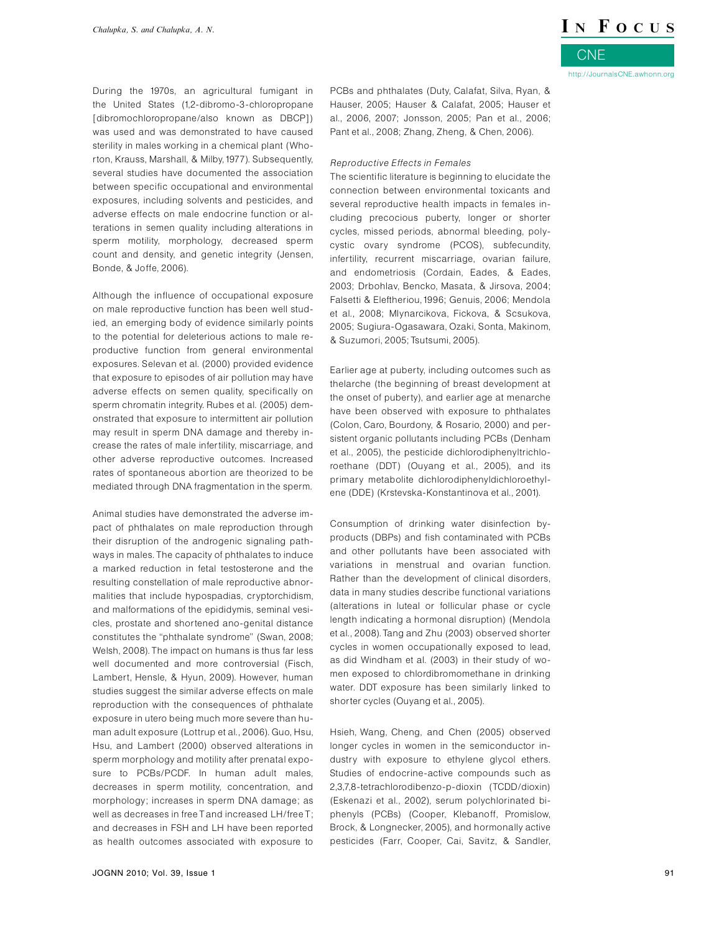Chalupka, S. and Chalupka, A. N.  $\blacksquare$   $\blacksquare$   $\blacksquare$   $\blacksquare$   $\blacksquare$   $\blacksquare$   $\blacksquare$   $\blacksquare$   $\blacksquare$   $\blacksquare$   $\blacksquare$   $\blacksquare$   $\blacksquare$   $\blacksquare$   $\blacksquare$   $\blacksquare$   $\blacksquare$   $\blacksquare$   $\blacksquare$   $\blacksquare$   $\blacksquare$   $\blacksquare$   $\blacksquare$   $\blacksquare$   $\blacksquare$   $\blacksquare$   $\blacksquare$ **CNF** http://JournalsCNE.awhonn.org

During the 1970s, an agricultural fumigant in the United States (1,2-dibromo-3-chloropropane [dibromochloropropane/also known as DBCP]) was used and was demonstrated to have caused sterility in males working in a chemical plant (Whorton, Krauss, Marshall, & Milby, 1977). Subsequently, several studies have documented the association between specific occupational and environmental exposures, including solvents and pesticides, and adverse effects on male endocrine function or alterations in semen quality including alterations in sperm motility, morphology, decreased sperm count and density, and genetic integrity (Jensen, Bonde, & Joffe, 2006).

Although the influence of occupational exposure on male reproductive function has been well studied, an emerging body of evidence similarly points to the potential for deleterious actions to male reproductive function from general environmental exposures. Selevan et al. (2000) provided evidence that exposure to episodes of air pollution may have adverse effects on semen quality, specifically on sperm chromatin integrity. Rubes et al. (2005) demonstrated that exposure to intermittent air pollution may result in sperm DNA damage and thereby increase the rates of male infertility, miscarriage, and other adverse reproductive outcomes. Increased rates of spontaneous abortion are theorized to be mediated through DNA fragmentation in the sperm.

Animal studies have demonstrated the adverse impact of phthalates on male reproduction through their disruption of the androgenic signaling pathways in males. The capacity of phthalates to induce a marked reduction in fetal testosterone and the resulting constellation of male reproductive abnormalities that include hypospadias, cryptorchidism, and malformations of the epididymis, seminal vesicles, prostate and shortened ano-genital distance constitutes the ''phthalate syndrome'' (Swan, 2008; Welsh, 2008). The impact on humans is thus far less well documented and more controversial (Fisch, Lambert, Hensle, & Hyun, 2009). However, human studies suggest the similar adverse effects on male reproduction with the consequences of phthalate exposure in utero being much more severe than human adult exposure (Lottrup et al., 2006). Guo, Hsu, Hsu, and Lambert (2000) observed alterations in sperm morphology and motility after prenatal exposure to PCBs/PCDF. In human adult males, decreases in sperm motility, concentration, and morphology; increases in sperm DNA damage; as well as decreases in free Tand increased LH/free T; and decreases in FSH and LH have been reported as health outcomes associated with exposure to PCBs and phthalates (Duty, Calafat, Silva, Ryan, & Hauser, 2005; Hauser & Calafat, 2005; Hauser et al., 2006, 2007; Jonsson, 2005; Pan et al., 2006; Pant et al., 2008; Zhang, Zheng, & Chen, 2006).

#### Reproductive Effects in Females

The scientific literature is beginning to elucidate the connection between environmental toxicants and several reproductive health impacts in females including precocious puberty, longer or shorter cycles, missed periods, abnormal bleeding, polycystic ovary syndrome (PCOS), subfecundity, infertility, recurrent miscarriage, ovarian failure, and endometriosis (Cordain, Eades, & Eades, 2003; Drbohlav, Bencko, Masata, & Jirsova, 2004; Falsetti & Eleftheriou, 1996; Genuis, 2006; Mendola et al., 2008; Mlynarcikova, Fickova, & Scsukova, 2005; Sugiura-Ogasawara, Ozaki, Sonta, Makinom, & Suzumori, 2005; Tsutsumi, 2005).

Earlier age at puberty, including outcomes such as thelarche (the beginning of breast development at the onset of puberty), and earlier age at menarche have been observed with exposure to phthalates (Colon, Caro, Bourdony, & Rosario, 2000) and persistent organic pollutants including PCBs (Denham et al., 2005), the pesticide dichlorodiphenyltrichloroethane (DDT) (Ouyang et al., 2005), and its primary metabolite dichlorodiphenyldichloroethylene (DDE) (Krstevska-Konstantinova et al., 2001).

Consumption of drinking water disinfection byproducts (DBPs) and fish contaminated with PCBs and other pollutants have been associated with variations in menstrual and ovarian function. Rather than the development of clinical disorders, data in many studies describe functional variations (alterations in luteal or follicular phase or cycle length indicating a hormonal disruption) (Mendola et al., 2008). Tang and Zhu (2003) observed shorter cycles in women occupationally exposed to lead, as did Windham et al. (2003) in their study of women exposed to chlordibromomethane in drinking water. DDT exposure has been similarly linked to shorter cycles (Ouyang et al., 2005).

Hsieh, Wang, Cheng, and Chen (2005) observed longer cycles in women in the semiconductor industry with exposure to ethylene glycol ethers. Studies of endocrine-active compounds such as 2,3,7,8-tetrachlorodibenzo-p-dioxin (TCDD/dioxin) (Eskenazi et al., 2002), serum polychlorinated biphenyls (PCBs) (Cooper, Klebanoff, Promislow, Brock, & Longnecker, 2005), and hormonally active pesticides (Farr, Cooper, Cai, Savitz, & Sandler,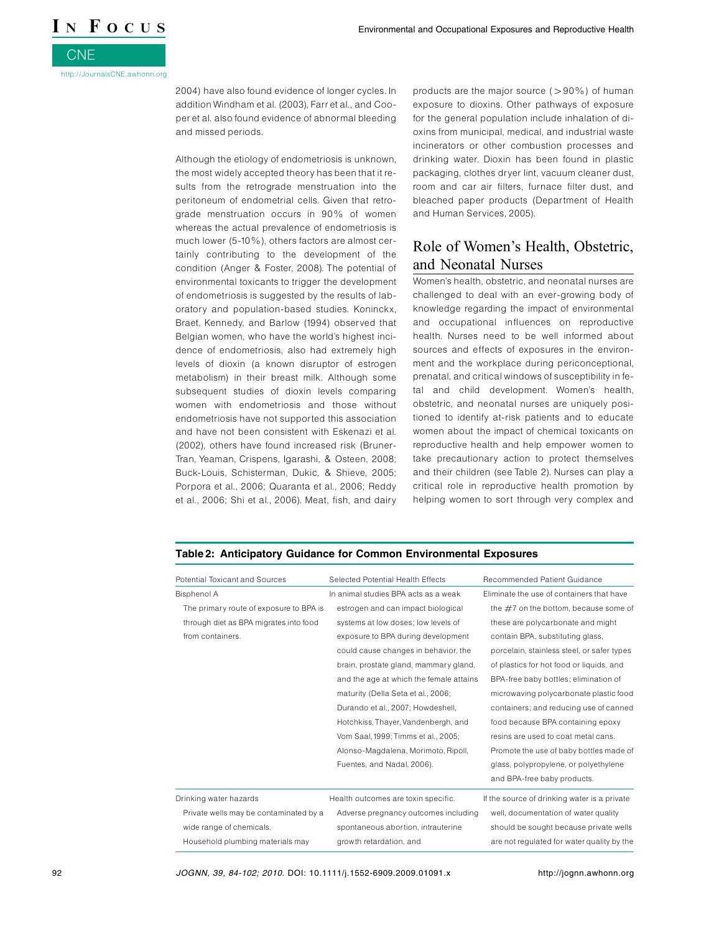http://JournalsCNE.awhonn.org

**CNF** 

2004) have also found evidence of longer cycles. In addition Windham et al. (2003), Farr et al., and Cooper et al. also found evidence of abnormal bleeding and missed periods.

Although the etiology of endometriosis is unknown, the most widely accepted theory has been that it results from the retrograde menstruation into the peritoneum of endometrial cells. Given that retrograde menstruation occurs in 90% of women whereas the actual prevalence of endometriosis is much lower (5-10%), others factors are almost certainly contributing to the development of the condition (Anger & Foster, 2008). The potential of environmental toxicants to trigger the development of endometriosis is suggested by the results of laboratory and population-based studies. Koninckx, Braet, Kennedy, and Barlow (1994) observed that Belgian women, who have the world's highest incidence of endometriosis, also had extremely high levels of dioxin (a known disruptor of estrogen metabolism) in their breast milk. Although some subsequent studies of dioxin levels comparing women with endometriosis and those without endometriosis have not supported this association and have not been consistent with Eskenazi et al. (2002), others have found increased risk (Bruner-Tran, Yeaman, Crispens, Igarashi, & Osteen, 2008; Buck-Louis, Schisterman, Dukic, & Shieve, 2005; Porpora et al., 2006; Quaranta et al., 2006; Reddy et al., 2006; Shi et al., 2006). Meat, fish, and dairy

products are the major source  $(>90\%)$  of human exposure to dioxins. Other pathways of exposure for the general population include inhalation of dioxins from municipal, medical, and industrial waste incinerators or other combustion processes and drinking water. Dioxin has been found in plastic packaging, clothes dryer lint, vacuum cleaner dust, room and car air filters, furnace filter dust, and bleached paper products (Department of Health and Human Services, 2005).

## Role of Women's Health, Obstetric, and Neonatal Nurses

Women's health, obstetric, and neonatal nurses are challenged to deal with an ever-growing body of knowledge regarding the impact of environmental and occupational influences on reproductive health. Nurses need to be well informed about sources and effects of exposures in the environment and the workplace during periconceptional, prenatal, and critical windows of susceptibility in fetal and child development. Women's health, obstetric, and neonatal nurses are uniquely positioned to identify at-risk patients and to educate women about the impact of chemical toxicants on reproductive health and help empower women to take precautionary action to protect themselves and their children (see Table 2). Nurses can play a critical role in reproductive health promotion by helping women to sort through very complex and

| Potential Toxicant and Sources          | Selected Potential Health Effects       | Recommended Patient Guidance                 |
|-----------------------------------------|-----------------------------------------|----------------------------------------------|
| Bisphenol A                             | In animal studies BPA acts as a weak    | Eliminate the use of containers that have    |
| The primary route of exposure to BPA is | estrogen and can impact biological      | the $#7$ on the bottom, because some of      |
| through diet as BPA migrates into food  | systems at low doses; low levels of     | these are polycarbonate and might            |
| from containers.                        | exposure to BPA during development      | contain BPA, substituting glass,             |
|                                         | could cause changes in behavior, the    | porcelain, stainless steel, or safer types   |
|                                         | brain, prostate gland, mammary gland,   | of plastics for hot food or liquids, and     |
|                                         | and the age at which the female attains | BPA-free baby bottles; elimination of        |
|                                         | maturity (Della Seta et al., 2006;      | microwaving polycarbonate plastic food       |
|                                         | Durando et al., 2007; Howdeshell,       | containers; and reducing use of canned       |
|                                         | Hotchkiss, Thayer, Vandenbergh, and     | food because BPA containing epoxy            |
|                                         | Vom Saal, 1999; Timms et al., 2005;     | resins are used to coat metal cans.          |
|                                         | Alonso-Magdalena, Morimoto, Ripoll,     | Promote the use of baby bottles made of      |
|                                         | Fuentes, and Nadal, 2006).              | glass, polypropylene, or polyethylene        |
|                                         |                                         | and BPA-free baby products.                  |
| Drinking water hazards                  | Health outcomes are toxin specific.     | If the source of drinking water is a private |
| Private wells may be contaminated by a  | Adverse pregnancy outcomes including    | well, documentation of water quality         |
| wide range of chemicals.                | spontaneous abortion, intrauterine      | should be sought because private wells       |
| Household plumbing materials may        | growth retardation, and                 | are not regulated for water quality by the   |
|                                         |                                         |                                              |

#### Table 2: Anticipatory Guidance for Common Environmental Exposures

92 JOGNN, 39, 84-102; 2010. DOI: 10.1111/j.1552-6909.2009.01091.x http://jognn.awhonn.org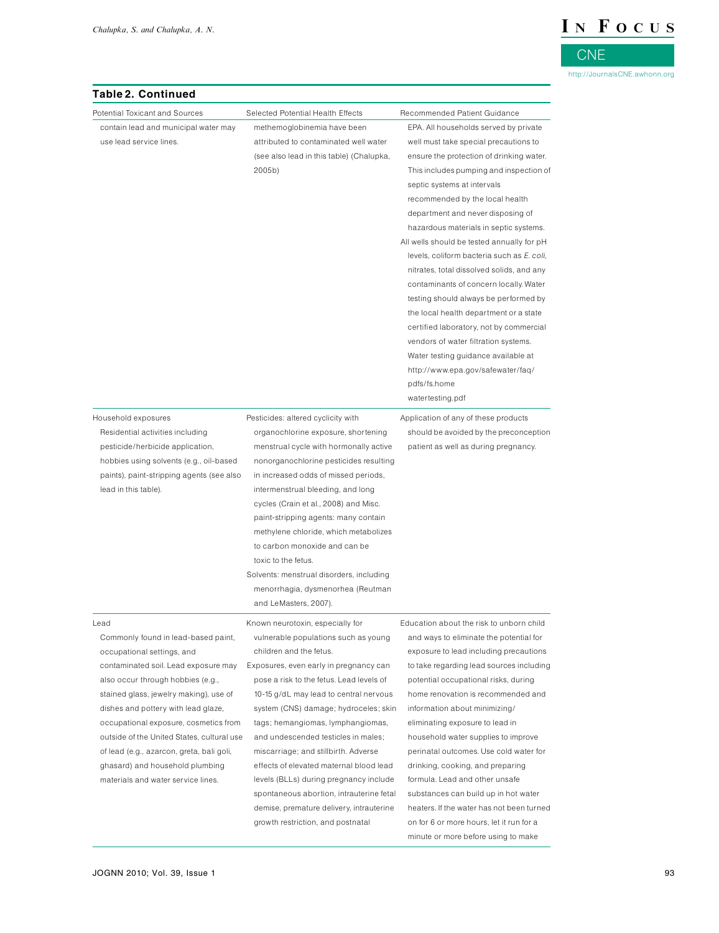

| <b>Potential Toxicant and Sources</b>                                                                                                                                                                                                                                                                                                                                                                                                                | Selected Potential Health Effects                                                                                                                                                                                                                                                                                                                                                                                                                                                                                                                                                                                  | Recommended Patient Guidance                                                                                                                                                                                                                                                                                                                                                                                                                                                                                                                                                                                                                                                                                                                                                                    |
|------------------------------------------------------------------------------------------------------------------------------------------------------------------------------------------------------------------------------------------------------------------------------------------------------------------------------------------------------------------------------------------------------------------------------------------------------|--------------------------------------------------------------------------------------------------------------------------------------------------------------------------------------------------------------------------------------------------------------------------------------------------------------------------------------------------------------------------------------------------------------------------------------------------------------------------------------------------------------------------------------------------------------------------------------------------------------------|-------------------------------------------------------------------------------------------------------------------------------------------------------------------------------------------------------------------------------------------------------------------------------------------------------------------------------------------------------------------------------------------------------------------------------------------------------------------------------------------------------------------------------------------------------------------------------------------------------------------------------------------------------------------------------------------------------------------------------------------------------------------------------------------------|
| contain lead and municipal water may<br>use lead service lines.                                                                                                                                                                                                                                                                                                                                                                                      | methemoglobinemia have been<br>attributed to contaminated well water<br>(see also lead in this table) (Chalupka,<br>2005b)                                                                                                                                                                                                                                                                                                                                                                                                                                                                                         | EPA. All households served by private<br>well must take special precautions to<br>ensure the protection of drinking water.<br>This includes pumping and inspection of<br>septic systems at intervals<br>recommended by the local health<br>department and never disposing of<br>hazardous materials in septic systems.<br>All wells should be tested annually for pH<br>levels, coliform bacteria such as E. coli,<br>nitrates, total dissolved solids, and any<br>contaminants of concern locally. Water<br>testing should always be performed by<br>the local health department or a state<br>certified laboratory, not by commercial<br>vendors of water filtration systems.<br>Water testing guidance available at<br>http://www.epa.gov/safewater/faq/<br>pdfs/fs.home<br>watertesting.pdf |
| Household exposures<br>Residential activities including<br>pesticide/herbicide application,<br>hobbies using solvents (e.g., oil-based<br>paints), paint-stripping agents (see also<br>lead in this table).                                                                                                                                                                                                                                          | Pesticides: altered cyclicity with<br>organochlorine exposure, shortening<br>menstrual cycle with hormonally active<br>nonorganochlorine pesticides resulting<br>in increased odds of missed periods,<br>intermenstrual bleeding, and long<br>cycles (Crain et al., 2008) and Misc.<br>paint-stripping agents: many contain<br>methylene chloride, which metabolizes<br>to carbon monoxide and can be<br>toxic to the fetus.<br>Solvents: menstrual disorders, including<br>menorrhagia, dysmenorhea (Reutman<br>and LeMasters, 2007).                                                                             | Application of any of these products<br>should be avoided by the preconception<br>patient as well as during pregnancy.                                                                                                                                                                                                                                                                                                                                                                                                                                                                                                                                                                                                                                                                          |
| Lead<br>Commonly found in lead-based paint,<br>occupational settings, and<br>contaminated soil. Lead exposure may<br>also occur through hobbies (e.g.,<br>stained glass, jewelry making), use of<br>dishes and pottery with lead glaze,<br>occupational exposure, cosmetics from<br>outside of the United States, cultural use<br>of lead (e.g., azarcon, greta, bali goli,<br>ghasard) and household plumbing<br>materials and water service lines. | Known neurotoxin, especially for<br>vulnerable populations such as young<br>children and the fetus.<br>Exposures, even early in pregnancy can<br>pose a risk to the fetus. Lead levels of<br>10-15 g/dL may lead to central nervous<br>system (CNS) damage; hydroceles; skin<br>tags; hemangiomas, lymphangiomas,<br>and undescended testicles in males;<br>miscarriage; and stillbirth. Adverse<br>effects of elevated maternal blood lead<br>levels (BLLs) during pregnancy include<br>spontaneous abortion, intrauterine fetal<br>demise, premature delivery, intrauterine<br>growth restriction, and postnatal | Education about the risk to unborn child<br>and ways to eliminate the potential for<br>exposure to lead including precautions<br>to take regarding lead sources including<br>potential occupational risks, during<br>home renovation is recommended and<br>information about minimizing/<br>eliminating exposure to lead in<br>household water supplies to improve<br>perinatal outcomes. Use cold water for<br>drinking, cooking, and preparing<br>formula. Lead and other unsafe<br>substances can build up in hot water<br>heaters. If the water has not been turned<br>on for 6 or more hours, let it run for a<br>minute or more before using to make                                                                                                                                      |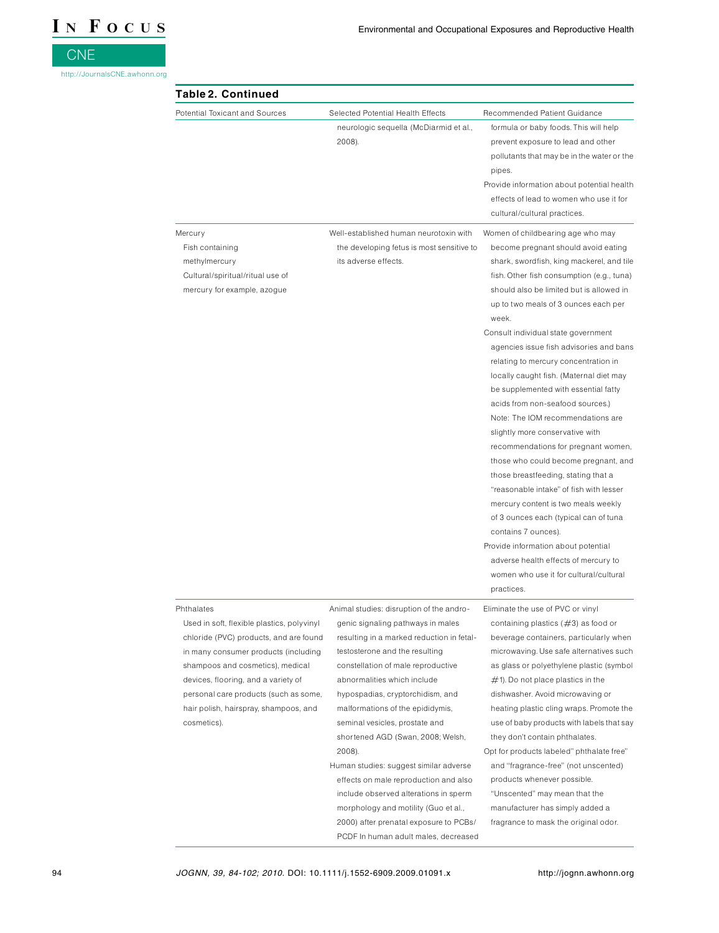

http://JournalsCNE.awhonn.org

| <b>Table 2. Continued</b>                                                                                                                                                                                                                                                                                              |                                                                                                                                                                                                                                                                                                                                                                                                                                                                                                                                                                                                                                                  |                                                                                                                                                                                                                                                                                                                                                                                                                                                                                                                                                                                                                                                                                                                                                                                                                                                                                                                                                                                                         |
|------------------------------------------------------------------------------------------------------------------------------------------------------------------------------------------------------------------------------------------------------------------------------------------------------------------------|--------------------------------------------------------------------------------------------------------------------------------------------------------------------------------------------------------------------------------------------------------------------------------------------------------------------------------------------------------------------------------------------------------------------------------------------------------------------------------------------------------------------------------------------------------------------------------------------------------------------------------------------------|---------------------------------------------------------------------------------------------------------------------------------------------------------------------------------------------------------------------------------------------------------------------------------------------------------------------------------------------------------------------------------------------------------------------------------------------------------------------------------------------------------------------------------------------------------------------------------------------------------------------------------------------------------------------------------------------------------------------------------------------------------------------------------------------------------------------------------------------------------------------------------------------------------------------------------------------------------------------------------------------------------|
| Potential Toxicant and Sources                                                                                                                                                                                                                                                                                         | Selected Potential Health Effects<br>neurologic sequella (McDiarmid et al.,<br>2008).                                                                                                                                                                                                                                                                                                                                                                                                                                                                                                                                                            | Recommended Patient Guidance<br>formula or baby foods. This will help<br>prevent exposure to lead and other<br>pollutants that may be in the water or the<br>pipes.<br>Provide information about potential health<br>effects of lead to women who use it for<br>cultural/cultural practices.                                                                                                                                                                                                                                                                                                                                                                                                                                                                                                                                                                                                                                                                                                            |
| Mercury<br>Fish containing<br>methylmercury<br>Cultural/spiritual/ritual use of<br>mercury for example, azogue                                                                                                                                                                                                         | Well-established human neurotoxin with<br>the developing fetus is most sensitive to<br>its adverse effects.                                                                                                                                                                                                                                                                                                                                                                                                                                                                                                                                      | Women of childbearing age who may<br>become pregnant should avoid eating<br>shark, swordfish, king mackerel, and tile<br>fish. Other fish consumption (e.g., tuna)<br>should also be limited but is allowed in<br>up to two meals of 3 ounces each per<br>week.<br>Consult individual state government<br>agencies issue fish advisories and bans<br>relating to mercury concentration in<br>locally caught fish. (Maternal diet may<br>be supplemented with essential fatty<br>acids from non-seafood sources.)<br>Note: The IOM recommendations are<br>slightly more conservative with<br>recommendations for pregnant women,<br>those who could become pregnant, and<br>those breastfeeding, stating that a<br>"reasonable intake" of fish with lesser<br>mercury content is two meals weekly<br>of 3 ounces each (typical can of tuna<br>contains 7 ounces).<br>Provide information about potential<br>adverse health effects of mercury to<br>women who use it for cultural/cultural<br>practices. |
| Phthalates<br>Used in soft, flexible plastics, polyvinyl<br>chloride (PVC) products, and are found<br>in many consumer products (including<br>shampoos and cosmetics), medical<br>devices, flooring, and a variety of<br>personal care products (such as some,<br>hair polish, hairspray, shampoos, and<br>cosmetics). | Animal studies: disruption of the andro-<br>genic signaling pathways in males<br>resulting in a marked reduction in fetal-<br>testosterone and the resulting<br>constellation of male reproductive<br>abnormalities which include<br>hypospadias, cryptorchidism, and<br>malformations of the epididymis,<br>seminal vesicles, prostate and<br>shortened AGD (Swan, 2008; Welsh,<br>2008).<br>Human studies: suggest similar adverse<br>effects on male reproduction and also<br>include observed alterations in sperm<br>morphology and motility (Guo et al.,<br>2000) after prenatal exposure to PCBs/<br>PCDF In human adult males, decreased | Eliminate the use of PVC or vinyl<br>containing plastics $(\#3)$ as food or<br>beverage containers, particularly when<br>microwaving. Use safe alternatives such<br>as glass or polyethylene plastic (symbol<br>$#1$ ). Do not place plastics in the<br>dishwasher. Avoid microwaving or<br>heating plastic cling wraps. Promote the<br>use of baby products with labels that say<br>they don't contain phthalates.<br>Opt for products labeled" phthalate free"<br>and "fragrance-free" (not unscented)<br>products whenever possible.<br>"Unscented" may mean that the<br>manufacturer has simply added a<br>fragrance to mask the original odor.                                                                                                                                                                                                                                                                                                                                                     |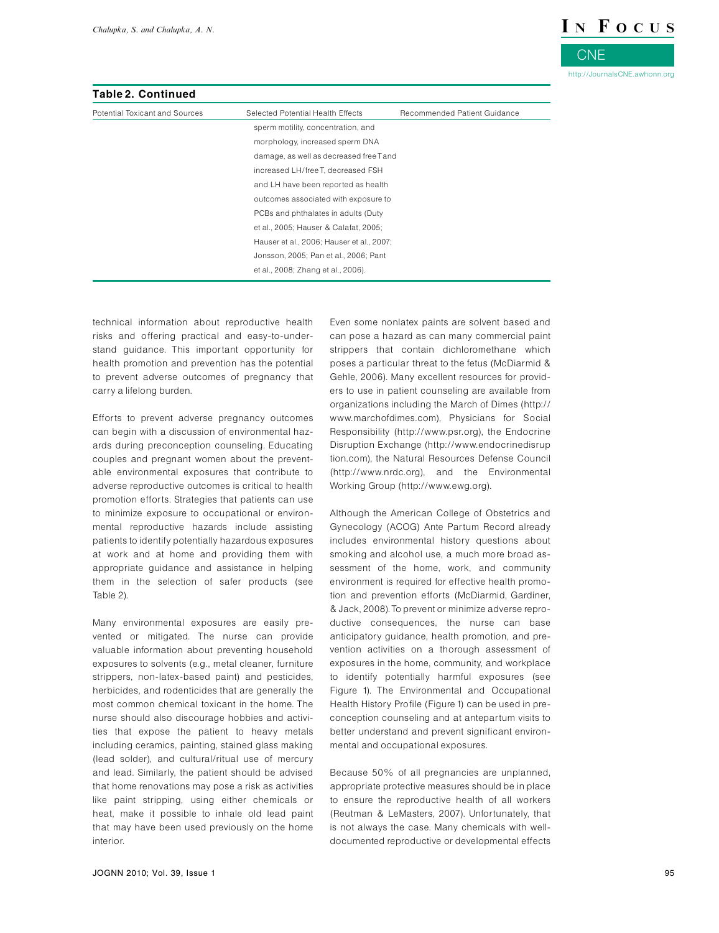## Table 2. Continued



| Potential Toxicant and Sources | Selected Potential Health Effects         | <b>Recommended Patient Guidance</b> |
|--------------------------------|-------------------------------------------|-------------------------------------|
|                                | sperm motility, concentration, and        |                                     |
|                                | morphology, increased sperm DNA           |                                     |
|                                | damage, as well as decreased free Tand    |                                     |
|                                | increased LH/free T, decreased FSH        |                                     |
|                                | and LH have been reported as health       |                                     |
|                                | outcomes associated with exposure to      |                                     |
|                                | PCBs and phthalates in adults (Duty       |                                     |
|                                | et al., 2005; Hauser & Calafat, 2005;     |                                     |
|                                | Hauser et al., 2006; Hauser et al., 2007; |                                     |
|                                | Jonsson, 2005; Pan et al., 2006; Pant     |                                     |
|                                | et al., 2008; Zhang et al., 2006).        |                                     |
|                                |                                           |                                     |

technical information about reproductive health risks and offering practical and easy-to-understand guidance. This important opportunity for health promotion and prevention has the potential to prevent adverse outcomes of pregnancy that carry a lifelong burden.

Efforts to prevent adverse pregnancy outcomes can begin with a discussion of environmental hazards during preconception counseling. Educating couples and pregnant women about the preventable environmental exposures that contribute to adverse reproductive outcomes is critical to health promotion efforts. Strategies that patients can use to minimize exposure to occupational or environmental reproductive hazards include assisting patients to identify potentially hazardous exposures at work and at home and providing them with appropriate guidance and assistance in helping them in the selection of safer products (see Table 2).

Many environmental exposures are easily prevented or mitigated. The nurse can provide valuable information about preventing household exposures to solvents (e.g., metal cleaner, furniture strippers, non-latex-based paint) and pesticides, herbicides, and rodenticides that are generally the most common chemical toxicant in the home. The nurse should also discourage hobbies and activities that expose the patient to heavy metals including ceramics, painting, stained glass making (lead solder), and cultural/ritual use of mercury and lead. Similarly, the patient should be advised that home renovations may pose a risk as activities like paint stripping, using either chemicals or heat, make it possible to inhale old lead paint that may have been used previously on the home interior.

Even some nonlatex paints are solvent based and can pose a hazard as can many commercial paint strippers that contain dichloromethane which poses a particular threat to the fetus (McDiarmid & Gehle, 2006). Many excellent resources for providers to use in patient counseling are available from organizations including the March of Dimes ([http://](http://www.marchofdimes.com) [www.marchofdimes.com\), Physicians for Social](http://www.marchofdimes.com) [Responsibility \(http://www.psr.org\), the Endocrine](http://www.psr.org) [Disruption Exchange \(http://www.endocrinedisrup](http://www.endocrinedisruption.com) [tion.com\), the Natural Resources Defense Council](http://www.endocrinedisruption.com) [\(http://www.nrdc.org\), and the Environmental](http://www.nrdc.org) [Working Group \(http://www.ewg.org\).](http://www.ewg.org)

Although the American College of Obstetrics and Gynecology (ACOG) Ante Partum Record already includes environmental history questions about smoking and alcohol use, a much more broad assessment of the home, work, and community environment is required for effective health promotion and prevention efforts (McDiarmid, Gardiner, & Jack, 2008).To prevent or minimize adverse reproductive consequences, the nurse can base anticipatory guidance, health promotion, and prevention activities on a thorough assessment of exposures in the home, community, and workplace to identify potentially harmful exposures (see Figure 1). The Environmental and Occupational Health History Profile (Figure 1) can be used in preconception counseling and at antepartum visits to better understand and prevent significant environmental and occupational exposures.

Because 50% of all pregnancies are unplanned, appropriate protective measures should be in place to ensure the reproductive health of all workers (Reutman & LeMasters, 2007). Unfortunately, that is not always the case. Many chemicals with welldocumented reproductive or developmental effects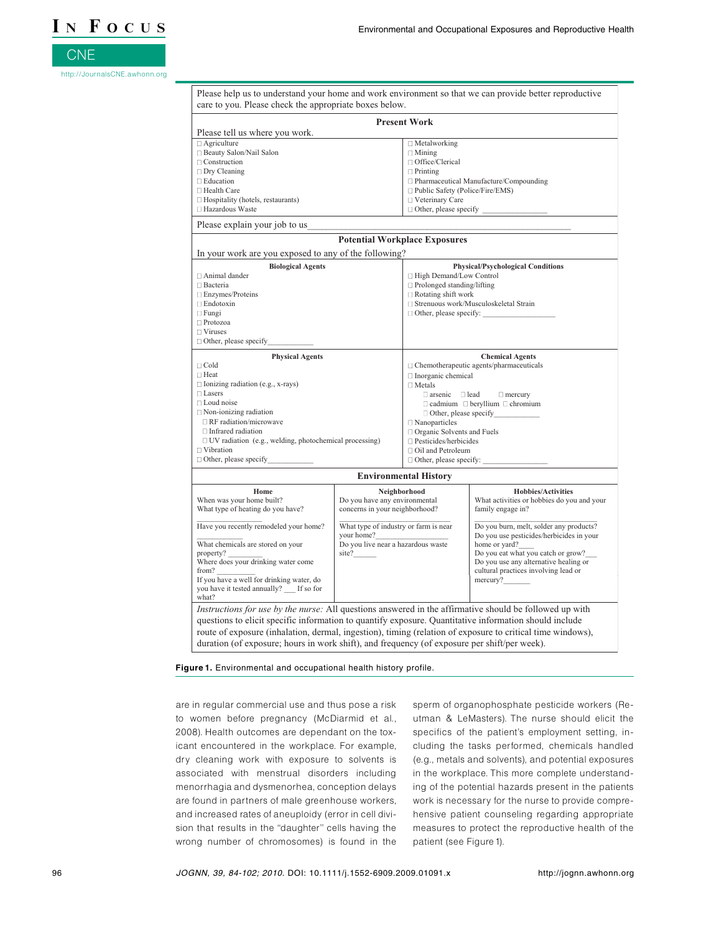**CNF** 

| http://JournalsCNE.awhonn.org |
|-------------------------------|
|-------------------------------|

| Please help us to understand your home and work environment so that we can provide better reproductive<br>care to you. Please check the appropriate boxes below. |                                                                 |                                                    |                                                                                     |  |
|------------------------------------------------------------------------------------------------------------------------------------------------------------------|-----------------------------------------------------------------|----------------------------------------------------|-------------------------------------------------------------------------------------|--|
|                                                                                                                                                                  |                                                                 | <b>Present Work</b>                                |                                                                                     |  |
| Please tell us where you work.                                                                                                                                   |                                                                 |                                                    |                                                                                     |  |
| $\Box$ Agriculture                                                                                                                                               |                                                                 | $\Box$ Metalworking                                |                                                                                     |  |
| Beauty Salon/Nail Salon                                                                                                                                          |                                                                 | $\Box$ Mining                                      |                                                                                     |  |
| □ Construction                                                                                                                                                   |                                                                 | □ Office/Clerical                                  |                                                                                     |  |
| $\Box$ Dry Cleaning                                                                                                                                              |                                                                 | $\Box$ Printing                                    |                                                                                     |  |
| □ Education                                                                                                                                                      |                                                                 |                                                    | □ Pharmaceutical Manufacture/Compounding                                            |  |
| □ Health Care                                                                                                                                                    |                                                                 | □ Public Safety (Police/Fire/EMS)                  |                                                                                     |  |
| $\Box$ Hospitality (hotels, restaurants)<br>□ Hazardous Waste                                                                                                    |                                                                 | □ Veterinary Care<br>$\Box$ Other, please specify  |                                                                                     |  |
| Please explain your job to us                                                                                                                                    |                                                                 |                                                    |                                                                                     |  |
|                                                                                                                                                                  | <b>Potential Workplace Exposures</b>                            |                                                    |                                                                                     |  |
| In your work are you exposed to any of the following?                                                                                                            |                                                                 |                                                    |                                                                                     |  |
| <b>Biological Agents</b>                                                                                                                                         |                                                                 |                                                    | <b>Physical/Psychological Conditions</b>                                            |  |
| □ Animal dander                                                                                                                                                  |                                                                 | High Demand/Low Control                            |                                                                                     |  |
| □ Bacteria                                                                                                                                                       |                                                                 | $\Box$ Prolonged standing/lifting                  |                                                                                     |  |
| □ Enzymes/Proteins                                                                                                                                               |                                                                 | $\Box$ Rotating shift work                         |                                                                                     |  |
| $\Box$ Endotoxin                                                                                                                                                 |                                                                 |                                                    | □ Strenuous work/Musculoskeletal Strain                                             |  |
| $\Box$ Fungi                                                                                                                                                     |                                                                 | $\Box$ Other, please specify:                      |                                                                                     |  |
| Protozoa                                                                                                                                                         |                                                                 |                                                    |                                                                                     |  |
| $\Box$ Viruses                                                                                                                                                   |                                                                 |                                                    |                                                                                     |  |
| $\Box$ Other, please specify                                                                                                                                     |                                                                 |                                                    |                                                                                     |  |
| <b>Physical Agents</b>                                                                                                                                           |                                                                 |                                                    | <b>Chemical Agents</b>                                                              |  |
| $\Box$ Cold                                                                                                                                                      |                                                                 | □ Chemotherapeutic agents/pharmaceuticals          |                                                                                     |  |
| □ Heat                                                                                                                                                           |                                                                 | □ Inorganic chemical                               |                                                                                     |  |
| $\Box$ Ionizing radiation (e.g., x-rays)                                                                                                                         |                                                                 | $\Box$ Metals                                      |                                                                                     |  |
| □ Lasers                                                                                                                                                         |                                                                 | $\Box$ arsenic $\Box$ lead<br>$\Box$ mercury       |                                                                                     |  |
| $\Box$ Loud noise<br>$\Box$ Non-ionizing radiation                                                                                                               |                                                                 | $\Box$ cadmium $\Box$ beryllium $\Box$ chromium    |                                                                                     |  |
| $\Box$ RF radiation/microwave                                                                                                                                    |                                                                 | $\Box$ Other, please specify                       |                                                                                     |  |
| $\Box$ Infrared radiation                                                                                                                                        |                                                                 | $\Box$ Nanoparticles<br>Organic Solvents and Fuels |                                                                                     |  |
| $\Box$ UV radiation (e.g., welding, photochemical processing)                                                                                                    |                                                                 | □ Pesticides/herbicides                            |                                                                                     |  |
| $\Box$ Vibration                                                                                                                                                 |                                                                 | Oil and Petroleum                                  |                                                                                     |  |
| $\Box$ Other, please specify                                                                                                                                     |                                                                 | $\Box$ Other, please specify:                      |                                                                                     |  |
|                                                                                                                                                                  |                                                                 |                                                    |                                                                                     |  |
|                                                                                                                                                                  |                                                                 | <b>Environmental History</b>                       |                                                                                     |  |
| Home                                                                                                                                                             | Neighborhood                                                    |                                                    | Hobbies/Activities                                                                  |  |
| When was your home built?<br>What type of heating do you have?                                                                                                   | Do you have any environmental<br>concerns in your neighborhood? |                                                    | What activities or hobbies do you and your<br>family engage in?                     |  |
| Have you recently remodeled your home?                                                                                                                           | What type of industry or farm is near<br>your home?             |                                                    | Do you burn, melt, solder any products?<br>Do you use pesticides/herbicides in your |  |
| What chemicals are stored on your                                                                                                                                | Do you live near a hazardous waste                              |                                                    | home or yard?                                                                       |  |
| property?<br>Where does your drinking water come                                                                                                                 | site?                                                           |                                                    | Do you eat what you catch or grow?<br>Do you use any alternative healing or         |  |
| from?                                                                                                                                                            |                                                                 |                                                    | cultural practices involving lead or                                                |  |
| If you have a well for drinking water, do                                                                                                                        |                                                                 |                                                    | mercury?                                                                            |  |
| you have it tested annually? If so for                                                                                                                           |                                                                 |                                                    |                                                                                     |  |
| what?                                                                                                                                                            |                                                                 |                                                    |                                                                                     |  |
| Instructions for use by the nurse: All questions answered in the affirmative should be followed up with                                                          |                                                                 |                                                    |                                                                                     |  |
| questions to elicit specific information to quantify exposure. Quantitative information should include                                                           |                                                                 |                                                    |                                                                                     |  |
| route of exposure (inhalation, dermal, ingestion), timing (relation of exposure to critical time windows),                                                       |                                                                 |                                                    |                                                                                     |  |
| duration (of exposure; hours in work shift), and frequency (of exposure per shift/per week).                                                                     |                                                                 |                                                    |                                                                                     |  |
|                                                                                                                                                                  |                                                                 |                                                    |                                                                                     |  |

Figure 1. Environmental and occupational health history profile.

are in regular commercial use and thus pose a risk to women before pregnancy (McDiarmid et al., 2008). Health outcomes are dependant on the toxicant encountered in the workplace. For example, dry cleaning work with exposure to solvents is associated with menstrual disorders including menorrhagia and dysmenorhea, conception delays are found in partners of male greenhouse workers, and increased rates of aneuploidy (error in cell division that results in the "daughter" cells having the wrong number of chromosomes) is found in the sperm of organophosphate pesticide workers (Reutman & LeMasters). The nurse should elicit the specifics of the patient's employment setting, including the tasks performed, chemicals handled (e.g., metals and solvents), and potential exposures in the workplace. This more complete understanding of the potential hazards present in the patients work is necessary for the nurse to provide comprehensive patient counseling regarding appropriate measures to protect the reproductive health of the patient (see Figure 1).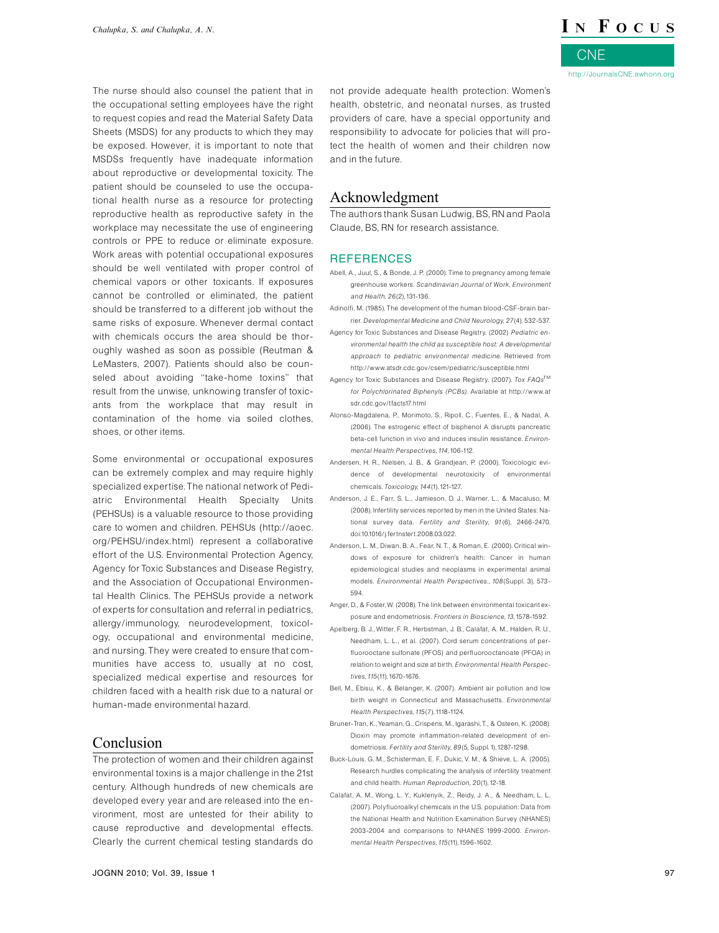The nurse should also counsel the patient that in the occupational setting employees have the right to request copies and read the Material Safety Data Sheets (MSDS) for any products to which they may be exposed. However, it is important to note that MSDSs frequently have inadequate information about reproductive or developmental toxicity. The patient should be counseled to use the occupational health nurse as a resource for protecting reproductive health as reproductive safety in the workplace may necessitate the use of engineering controls or PPE to reduce or eliminate exposure. Work areas with potential occupational exposures should be well ventilated with proper control of chemical vapors or other toxicants. If exposures cannot be controlled or eliminated, the patient should be transferred to a different job without the same risks of exposure. Whenever dermal contact with chemicals occurs the area should be thoroughly washed as soon as possible (Reutman & LeMasters, 2007). Patients should also be counseled about avoiding "take-home toxins" that result from the unwise, unknowing transfer of toxicants from the workplace that may result in contamination of the home via soiled clothes, shoes, or other items.

Some environmental or occupational exposures can be extremely complex and may require highly specialized expertise. The national network of Pediatric Environmental Health Specialty Units (PEHSUs) is a valuable resource to those providing care to women and children. PEHSUs ([http://aoec.](http://aoec.org/PEHSU/index.html) [org/PEHSU/index.html\) represent a collaborative](http://aoec.org/PEHSU/index.html) effort of the U.S. Environmental Protection Agency, [Agency for Toxic Substances and Disease Registry,](http://aoec.org/PEHSU/index.html) [and the Association of Occupational Environmen](http://aoec.org/PEHSU/index.html)[tal Health Clinics. The PEHSUs provide a network](http://aoec.org/PEHSU/index.html) [of experts for consultation and referral in pediatrics,](http://aoec.org/PEHSU/index.html) [allergy/immunology, neurodevelopment, toxicol](http://aoec.org/PEHSU/index.html)[ogy, occupational and environmental medicine,](http://aoec.org/PEHSU/index.html) [and nursing. They were created to ensure that com](http://aoec.org/PEHSU/index.html)[munities have access to, usually at no cost,](http://aoec.org/PEHSU/index.html) [specialized medical expertise and resources for](http://aoec.org/PEHSU/index.html) [children faced with a health risk due to a natural or](http://aoec.org/PEHSU/index.html) [human-made environmental hazard.](http://aoec.org/PEHSU/index.html)

## Conclusion

The protection of women and their children against environmental toxins is a major challenge in the 21st century. Although hundreds of new chemicals are developed every year and are released into the environment, most are untested for their ability to cause reproductive and developmental effects. Clearly the current chemical testing standards do



not provide adequate health protection. Women's health, obstetric, and neonatal nurses, as trusted providers of care, have a special opportunity and responsibility to advocate for policies that will protect the health of women and their children now and in the future.

## Acknowledgment

The authors thank Susan Ludwig, BS, RN and Paola Claude, BS, RN for research assistance.

#### **REFERENCES**

- Abell, A., Juul, S., & Bonde, J. P. (2000). Time to pregnancy among female greenhouse workers. Scandinavian Journal of Work, Environment and Health, 26(2), 131-136.
- Adinolfi, M. (1985). The development of the human blood-CSF-brain barrier. Developmental Medicine and Child Neurology, 27(4), 532-537.
- Agency for Toxic Substances and Disease Registry. (2002) Pediatric environmental health the child as susceptible host: A developmental approach to pediatric environmental medicine. Retrieved from <http://www.atsdr.cdc.gov/csem/pediatric/susceptible.html>
- Agency for Toxic Substances and Disease Registry. (2007). Tox FAQs™ for Polychlorinated Biphenyls (PCBs). Available at [http://www.at](http://www.atsdr.cdc.gov/tfacts17.html) [sdr.cdc.gov/tfacts17.html](http://www.atsdr.cdc.gov/tfacts17.html)
- Alonso-Magdalena, P., Morimoto, S., Ripoll, C., Fuentes, E., & Nadal, A. (2006). The estrogenic effect of bisphenol A disrupts pancreatic beta-cell function in vivo and induces insulin resistance. Environmental Health Perspectives, 114,106-112.
- Andersen, H. R., Nielsen, J. B., & Grandjean, P. (2000). Toxicologic evidence of developmental neurotoxicity of environmental chemicals. Toxicology, 144(1), 121-127.
- Anderson, J. E., Farr, S. L., Jamieson, D. J., Warner, L., & Macaluso, M. (2008). Infertility services reported by men in the United States: National survey data. Fertility and Sterility, 91(6), 2466-2470. doi:[10.1016/j.fertnstert.2008.03.022.](10.1016/j.fertnstert.2008.03.022)
- Anderson, L. M., Diwan, B. A., Fear, N. T., & Roman, E. (2000). Critical windows of exposure for children's health: Cancer in human epidemiological studies and neoplasms in experimental animal models. Environmental Health Perspectives., 108(Suppl. 3), 573 - 594.
- Anger, D., & Foster, W. (2008). The link between environmental toxicant exposure and endometriosis. Frontiers in Bioscience, 13,1578-1592.
- Apelberg, B. J., Witter, F. R., Herbstman, J. B., Calafat, A. M., Halden, R. U., Needham, L. L., et al. (2007). Cord serum concentrations of per fluorooctane sulfonate (PFOS) and perfluorooctanoate (PFOA) in relation to weight and size at birth. Environmental Health Perspectives, 115(11), 1670-1676.
- Bell, M., Ebisu, K., & Belanger, K. (2007). Ambient air pollution and low birth weight in Connecticut and Massachusetts. Environmental Health Perspectives, 115(7), 1118-1124.
- Bruner-Tran, K.,Yeaman, G., Crispens, M., Igarashi,T., & Osteen, K. (2008). Dioxin may promote inflammation-related development of endometriosis. Fertility and Sterility, 89(5, Suppl. 1), 1287-1298.
- Buck-Louis, G. M., Schisterman, E. F., Dukic, V. M., & Shieve, L. A. (2005). Research hurdles complicating the analysis of infertility treatment and child health. Human Reproduction, 20(1), 12-18.
- Calafat, A. M., Wong, L. Y., Kuklenyik, Z., Reidy, J. A., & Needham, L. L. (2007). Poly£uoroalkyl chemicals in the U.S. population: Data from the National Health and Nutrition Examination Survey (NHANES) 2003-2004 and comparisons to NHANES 1999-2000. Environmental Health Perspectives, 115(11), 1596 -1602.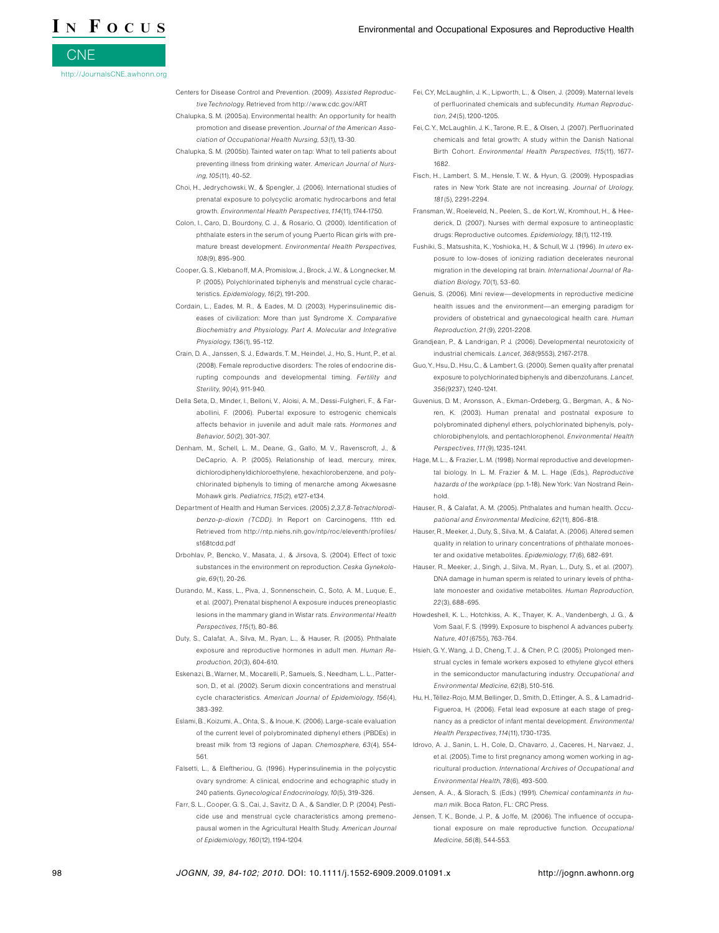**CN<sub>E</sub>** 

http://JournalsCNE.awhonn.org

- Centers for Disease Control and Prevention. (2009). Assisted Reproductive Technology. Retrieved from [http://www.cdc.gov/ART](http://www.cdc.gov/ART.3d)
- Chalupka, S. M. (2005a). Environmental health: An opportunity for health promotion and disease prevention. Journal of the American Association of Occupational Health Nursing, 53(1), 13 -30.
- Chalupka, S. M. (2005b). Tainted water on tap: What to tell patients about preventing illness from drinking water. American Journal of Nurs $in \alpha$ , 105(11), 40-52.
- Choi, H., Jedrychowski, W., & Spengler, J. (2006). International studies of prenatal exposure to polycyclic aromatic hydrocarbons and fetal growth. Environmental Health Perspectives, 114(11), 1744-1750.
- Colon, I., Caro, D., Bourdony, C. J., & Rosario, O. (2000). Identification of phthalate esters in the serum of young Puerto Rican girls with premature breast development. Environmental Health Perspectives, 108(9), 895-900.
- Cooper, G. S., Klebanoff, M.A, Promislow, J., Brock, J. W., & Longnecker, M. P. (2005). Polychlorinated biphenyls and menstrual cycle characteristics. Epidemiology, 16(2), 191-200.
- Cordain, L., Eades, M. R., & Eades, M. D. (2003). Hyperinsulinemic diseases of civilization: More than just Syndrome X. Comparative Biochemistry and Physiology. Part A. Molecular and Integrative Physiology, 136(1), 95-112.
- Crain, D. A., Janssen, S. J., Edwards, T. M., Heindel, J., Ho, S., Hunt, P., et al. (2008). Female reproductive disorders: The roles of endocrine disrupting compounds and developmental timing. Fertility and Sterility, 90(4), 911-940.
- Della Seta, D., Minder, I., Belloni, V., Aloisi, A. M., Dessi-Fulgheri, F., & Farabollini, F. (2006). Pubertal exposure to estrogenic chemicals affects behavior in juvenile and adult male rats. Hormones and Behavior, 50(2), 301-307.
- Denham, M., Schell, L. M., Deane, G., Gallo, M. V., Ravenscroft, J., & DeCaprio, A. P. (2005). Relationship of lead, mercury, mirex, dichlorodiphenyldichloroethylene, hexachlorobenzene, and polychlorinated biphenyls to timing of menarche among Akwesasne Mohawk girls. Pediatrics, 115(2), e127-e134.
- Department of Health and Human Services. (2005) 2,3,7,8-Tetrachlorodibenzo-p-dioxin (TCDD). In Report on Carcinogens, 11th ed. Retrieved from http://ntp.niehs.nih.gov/ntp/roc/eleventh/profiles/ [s168tcdd.pdf](http://ntp.niehs.nih.gov/ntp/roc/eleventh/profiles/s168tcdd.pdf)
- Drbohlav, P., Bencko, V., Masata, J., & Jirsova, S. (2004). Effect of toxic substances in the environment on reproduction. Ceska Gynekologie, 69(1), 20-26.
- Durando, M., Kass, L., Piva, J., Sonnenschein, C., Soto, A. M., Luque, E., et al. (2007). Prenatal bisphenol A exposure induces preneoplastic lesions in the mammary gland in Wistar rats. Environmental Health Perspectives, 115(1), 80-86.
- Duty, S., Calafat, A., Silva, M., Ryan, L., & Hauser, R. (2005). Phthalate exposure and reproductive hormones in adult men. Human Reproduction, 20(3), 604-610.
- Eskenazi, B., Warner, M., Mocarelli, P., Samuels, S., Needham, L. L., Patterson, D., et al. (2002). Serum dioxin concentrations and menstrual cycle characteristics. American Journal of Epidemiology, 156(4), 383-392.
- Eslami, B., Koizumi, A., Ohta, S., & Inoue, K. (2006). Large-scale evaluation of the current level of polybrominated diphenyl ethers (PBDEs) in breast milk from 13 regions of Japan. Chemosphere, 63(4), 554- 561.
- Falsetti, L., & Eleftheriou, G. (1996). Hyperinsulinemia in the polycystic ovary syndrome: A clinical, endocrine and echographic study in 240 patients. Gynecological Endocrinology, 10(5), 319-326.
- Farr, S. L., Cooper, G. S., Cai, J., Savitz, D. A., & Sandler, D. P. (2004). Pesticide use and menstrual cycle characteristics among premenopausal women in the Agricultural Health Study. American Journal of Epidemiology, 160(12),1194-1204.
- Fei, C.Y, McLaughlin, J. K., Lipworth, L., & Olsen, J. (2009). Maternal levels of perfluorinated chemicals and subfecundity. Human Reproduction, 24(5),1200-1205.
- Fei, C. Y., McLaughlin, J. K., Tarone, R. E., & Olsen, J. (2007). Perfluorinated chemicals and fetal growth: A study within the Danish National Birth Cohort. Environmental Health Perspectives, 115(11), 1677- 1682.
- Fisch, H., Lambert, S. M., Hensle, T. W., & Hyun, G. (2009). Hypospadias rates in New York State are not increasing. Journal of Urology, 181(5), 2291-2294.
- Fransman, W., Roeleveld, N., Peelen, S., de Kort, W., Kromhout, H., & Heederick, D. (2007). Nurses with dermal exposure to antineoplastic drugs: Reproductive outcomes. Epidemiology, 18(1), 112-119.
- Fushiki, S., Matsushita, K., Yoshioka, H., & Schull, W. J. (1996). In utero exposure to low-doses of ionizing radiation decelerates neuronal migration in the developing rat brain. International Journal of Radiation Biology, 70(1), 53-60.
- Genuis, S. (2006). Mini review-developments in reproductive medicine health issues and the environment-an emerging paradigm for providers of obstetrical and gynaecological health care. Human Reproduction, 21(9), 2201-2208.
- Grandjean, P., & Landrigan, P. J. (2006). Developmental neurotoxicity of industrial chemicals. Lancet, 368(9553), 2167-2178.
- Guo,Y., Hsu, D., Hsu,C., & Lambert, G. (2000). Semen quality after prenatal exposure to polychlorinated biphenyls and dibenzofurans. Lancet, 356(9237), 1240-1241.
- Guvenius, D. M., Aronsson, A., Ekman-Ordeberg, G., Bergman, A., & Noren, K. (2003). Human prenatal and postnatal exposure to polybrominated diphenyl ethers, polychlorinated biphenyls, polychlorobiphenylols, and pentachlorophenol. Environmental Health Perspectives, 111(9), 1235-1241.
- Hage, M. L., & Frazier, L. M. (1998). Normal reproductive and developmental biology. In L. M. Frazier & M. L. Hage (Eds.), Reproductive hazards of the workplace (pp. 1-18). New York: Van Nostrand Reinhold.
- Hauser, R., & Calafat, A. M. (2005). Phthalates and human health. Occupational and Environmental Medicine, 62(11), 806-818.
- Hauser, R., Meeker, J., Duty, S., Silva, M., & Calafat, A. (2006). Altered semen quality in relation to urinary concentrations of phthalate monoester and oxidative metabolites. Epidemiology, 17(6), 682-691.
- Hauser, R., Meeker, J., Singh, J., Silva, M., Ryan, L., Duty, S., et al. (2007). DNA damage in human sperm is related to urinary levels of phthalate monoester and oxidative metabolites. Human Reproduction, 22(3), 688-695.
- Howdeshell, K. L., Hotchkiss, A. K., Thayer, K. A., Vandenbergh, J. G., & Vom Saal, F. S. (1999). Exposure to bisphenol A advances puberty. Nature, 401(6755), 763-764.
- Hsieh, G. Y., Wang, J. D., Cheng, T. J., & Chen, P. C. (2005). Prolonged menstrual cycles in female workers exposed to ethylene glycol ethers in the semiconductor manufacturing industry. Occupational and Environmental Medicine, 62(8), 510-516.
- Hu, H., Téllez-Rojo, M.M. Bellinger, D., Smith, D., Ettinger, A. S., & Lamadrid-Figueroa, H. (2006). Fetal lead exposure at each stage of pregnancy as a predictor of infant mental development. Environmental Health Perspectives, 114(11), 1730-1735.
- Idrovo, A. J., Sanin, L. H., Cole, D., Chavarro, J., Caceres, H., Narvaez, J., et al. (2005). Time to first pregnancy among women working in agricultural production. International Archives of Occupational and Environmental Health, 78(6), 493-500.
- Jensen, A. A., & Slorach, S. (Eds.) (1991). Chemical contaminants in human milk. Boca Raton, FL: CRC Press.
- Jensen, T. K., Bonde, J. P., & Joffe, M. (2006). The influence of occupational exposure on male reproductive function. Occupational Medicine, 56(8), 544-553.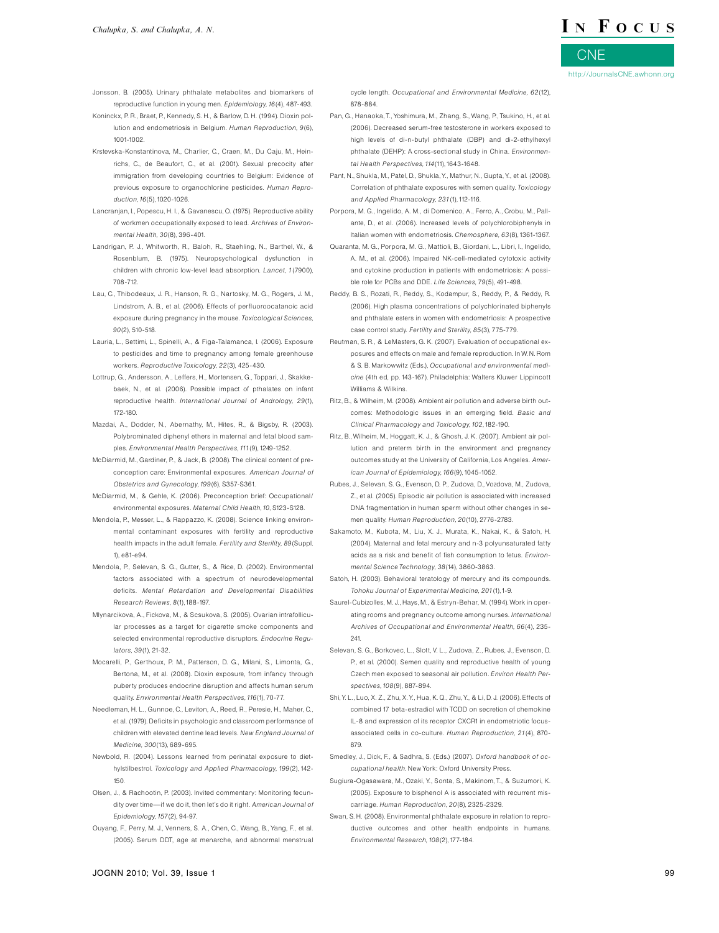

- Jonsson, B. (2005). Urinary phthalate metabolites and biomarkers of reproductive function in young men. Epidemiology, 16(4), 487-493.
- Koninckx, P. R., Braet, P., Kennedy, S. H., & Barlow, D. H. (1994). Dioxin pollution and endometriosis in Belgium. Human Reproduction, 9(6), 1001-1002.
- Krstevska-Konstantinova, M., Charlier, C., Craen, M., Du Caju, M., Heinrichs, C., de Beaufort, C., et al. (2001). Sexual precocity after immigration from developing countries to Belgium: Evidence of previous exposure to organochlorine pesticides. Human Reproduction, 16(5), 1020-1026.
- Lancranjan, I., Popescu, H. I., & Gavanescu, O. (1975). Reproductive ability of workmen occupationally exposed to lead. Archives of Environmental Health, 30(8), 396 -401.
- Landrigan, P. J., Whitworth, R., Baloh, R., Staehling, N., Barthel, W., & Rosenblum, B. (1975). Neuropsychological dysfunction in children with chronic low-level lead absorption. Lancet, 1(7900), 708-712.
- Lau, C., Thibodeaux, J. R., Hanson, R. G., Nartosky, M. G., Rogers, J. M., Lindstrom, A. B., et al. (2006). Effects of perfluoroocatanoic acid exposure during pregnancy in the mouse. Toxicological Sciences, 90(2), 510-518.
- Lauria, L., Settimi, L., Spinelli, A., & Figa-Talamanca, I. (2006). Exposure to pesticides and time to pregnancy among female greenhouse workers. Reproductive Toxicology, 22(3), 425-430.
- Lottrup, G., Andersson, A., Leffers, H., Mortensen, G., Toppari, J., Skakkebaek, N., et al. (2006). Possible impact of pthalates on infant reproductive health. International Journal of Andrology, 29(1), 172-180.
- Mazdai, A., Dodder, N., Abernathy, M., Hites, R., & Bigsby, R. (2003). Polybrominated diphenyl ethers in maternal and fetal blood samples. Environmental Health Perspectives, 111(9), 1249-1252.
- McDiarmid, M., Gardiner, P., & Jack, B. (2008). The clinical content of preconception care: Environmental exposures. American Journal of Obstetrics and Gynecology, 199(6), S357-S361.
- McDiarmid, M., & Gehle, K. (2006). Preconception brief: Occupational/ environmental exposures. Maternal Child Health, 10, S123 -S128.
- Mendola, P., Messer, L., & Rappazzo, K. (2008). Science linking environmental contaminant exposures with fertility and reproductive health impacts in the adult female. Fertility and Sterility, 89(Suppl. 1), e81-e94.
- Mendola, P., Selevan, S. G., Gutter, S., & Rice, D. (2002). Environmental factors associated with a spectrum of neurodevelopmental deficits. Mental Retardation and Developmental Disabilities Research Reviews, 8(1), 188-197.
- Mlynarcikova, A., Fickova, M., & Scsukova, S. (2005). Ovarian intrafollicular processes as a target for cigarette smoke components and selected environmental reproductive disruptors. Endocrine Regulators, 39(1), 21-32.
- Mocarelli, P., Gerthoux, P. M., Patterson, D. G., Milani, S., Limonta, G., Bertona, M., et al. (2008). Dioxin exposure, from infancy through puberty produces endocrine disruption and affects human serum quality. Environmental Health Perspectives, 116(1), 70-77.
- Needleman, H. L., Gunnoe, C., Leviton, A., Reed, R., Peresie, H., Maher, C., et al. (1979). Deficits in psychologic and classroom performance of children with elevated dentine lead levels. New England Journal of Medicine, 300(13), 689-695.
- Newbold, R. (2004). Lessons learned from perinatal exposure to diethylstilbestrol. Toxicology and Applied Pharmacology, 199(2), 142- 150.
- Olsen, J., & Rachootin, P. (2003). Invited commentary: Monitoring fecundity over time-if we do it, then let's do it right. American Journal of Epidemiology, 157(2), 94-97.
- Ouyang, F., Perry, M. J., Venners, S. A., Chen, C., Wang, B., Yang, F., et al. (2005). Serum DDT, age at menarche, and abnormal menstrual

cycle length. Occupational and Environmental Medicine, 62(12), 878-884.

- Pan, G., Hanaoka, T., Yoshimura, M., Zhang, S., Wang, P., Tsukino, H., et al. (2006). Decreased serum-free testosterone in workers exposed to high levels of di-n-butyl phthalate (DBP) and di-2-ethylhexyl phthalate (DEHP): A cross-sectional study in China. Environmental Health Perspectives, 114(11),1643-1648.
- Pant, N., Shukla, M., Patel, D., Shukla, Y., Mathur, N., Gupta, Y., et al. (2008). Correlation of phthalate exposures with semen quality. Toxicology and Applied Pharmacology, 231(1),112-116.
- Porpora, M. G., Ingelido, A. M., di Domenico, A., Ferro, A., Crobu, M., Pallante, D., et al. (2006). Increased levels of polychlorobiphenyls in Italian women with endometriosis. Chemosphere, 63(8),1361-1367.
- Quaranta, M. G., Porpora, M. G., Mattioli, B., Giordani, L., Libri, I., Ingelido, A. M., et al. (2006). Impaired NK-cell-mediated cytotoxic activity and cytokine production in patients with endometriosis: A possible role for PCBs and DDE. Life Sciences, 79(5), 491-498.
- Reddy, B. S., Rozati, R., Reddy, S., Kodampur, S., Reddy, P., & Reddy, R. (2006). High plasma concentrations of polychlorinated biphenyls and phthalate esters in women with endometriosis: A prospective case control study. Fertility and Sterility, 85(3), 775-779.
- Reutman, S. R., & LeMasters, G. K. (2007). Evaluation of occupational exposures and effects on male and female reproduction. In W. N. Rom & S. B. Markowwitz (Eds.), Occupational and environmental medicine (4th ed, pp. 143 -167). Philadelphia: Walters Kluwer Lippincott Williams & Wilkins.
- Ritz, B., & Wilheim, M. (2008). Ambient air pollution and adverse birth outcomes: Methodologic issues in an emerging field. Basic and Clinical Pharmacology and Toxicology, 102, 182-190.
- Ritz, B., Wilheim, M., Hoggatt, K. J., & Ghosh, J. K. (2007). Ambient air pollution and preterm birth in the environment and pregnancy outcomes study at the University of California, Los Angeles. American Journal of Epidemiology, 166(9), 1045-1052.
- Rubes, J., Selevan, S. G., Evenson, D. P., Zudova, D., Vozdova, M., Zudova, Z., et al. (2005). Episodic air pollution is associated with increased DNA fragmentation in human sperm without other changes in semen quality. Human Reproduction, 20(10), 2776-2783.
- Sakamoto, M., Kubota, M., Liu, X. J., Murata, K., Nakai, K., & Satoh, H. (2004). Maternal and fetal mercury and n-3 polyunsaturated fatty acids as a risk and benefit of fish consumption to fetus. Environmental Science Technology, 38(14), 3860-3863.
- Satoh, H. (2003). Behavioral teratology of mercury and its compounds. Tohoku Journal of Experimental Medicine, 201(1), 1-9.
- Saurel-Cubizolles, M. J., Hays, M., & Estryn-Behar, M. (1994).Work in operating rooms and pregnancy outcome among nurses. International Archives of Occupational and Environmental Health, 66(4), 235- 241.
- Selevan, S. G., Borkovec, L., Slott, V. L., Zudova, Z., Rubes, J., Evenson, D. P., et al. (2000). Semen quality and reproductive health of young Czech men exposed to seasonal air pollution. Environ Health Perspectives, 108(9), 887-894.
- Shi, Y. L., Luo, X. Z., Zhu, X. Y., Hua, K. Q., Zhu, Y., & Li, D. J. (2006). Effects of combined 17 beta-estradiol with TCDD on secretion of chemokine IL-8 and expression of its receptor CXCR1 in endometriotic focusassociated cells in co-culture. Human Reproduction, 21(4), 870- 879.
- Smedley, J., Dick, F., & Sadhra, S. (Eds.) (2007). Oxford handbook of occupational health. New York: Oxford University Press.
- Sugiura-Ogasawara, M., Ozaki, Y., Sonta, S., Makinom, T., & Suzumori, K. (2005). Exposure to bisphenol A is associated with recurrent miscarriage. Human Reproduction, 20(8), 2325-2329.
- Swan, S. H. (2008). Environmental phthalate exposure in relation to reproductive outcomes and other health endpoints in humans. Environmental Research, 108(2), 177-184.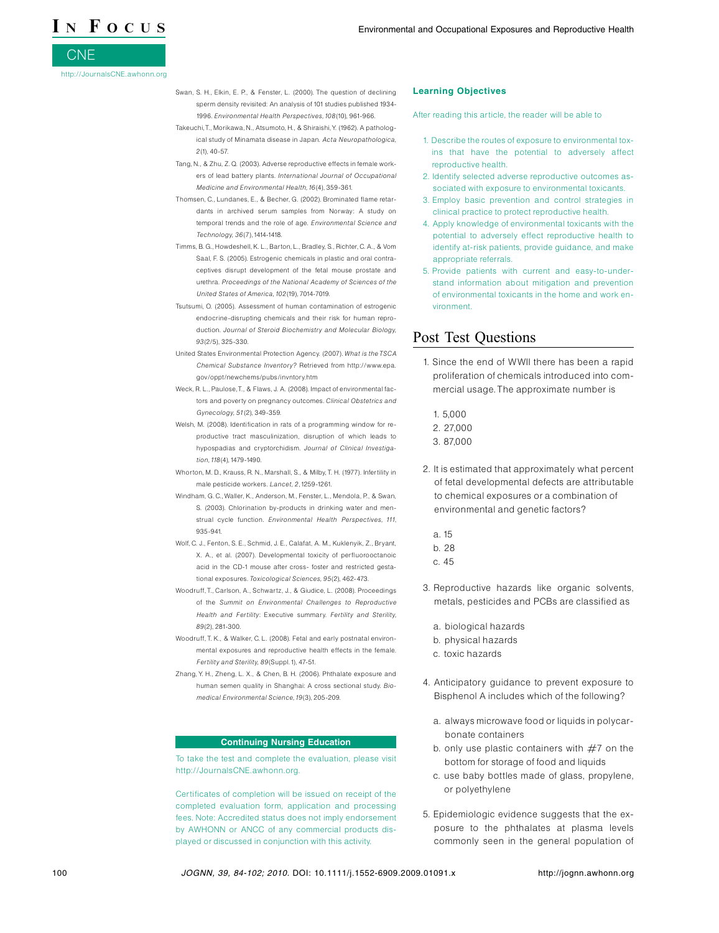## **CN<sub>E</sub>**

http://JournalsCNE.awhonn.org

- Swan, S. H., Elkin, E. P., & Fenster, L. (2000). The question of declining sperm density revisited: An analysis of 101 studies published 1934- 1996. Environmental Health Perspectives, 108(10), 961-966.
- Takeuchi,T., Morikawa, N., Atsumoto, H., & Shiraishi, Y. (1962). A pathological study of Minamata disease in Japan. Acta Neuropathologica, 2(1), 40-57.
- Tang, N., & Zhu, Z. Q. (2003). Adverse reproductive effects in female workers of lead battery plants. International Journal of Occupational Medicine and Environmental Health, 16(4), 359-361.
- Thomsen, C., Lundanes, E., & Becher, G. (2002). Brominated flame retardants in archived serum samples from Norway: A study on temporal trends and the role of age. Environmental Science and Technology, 36(7),1414-1418.
- Timms, B. G., Howdeshell, K. L., Barton, L., Bradley, S., Richter, C. A., & Vom Saal, F. S. (2005). Estrogenic chemicals in plastic and oral contraceptives disrupt development of the fetal mouse prostate and urethra. Proceedings of the National Academy of Sciences of the United States of America, 102(19), 7014-7019.
- Tsutsumi, O. (2005). Assessment of human contamination of estrogenic endocrine-disrupting chemicals and their risk for human reproduction. Journal of Steroid Biochemistry and Molecular Biology, 93(2/5), 325-330.
- United States Environmental Protection Agency. (2007). What is the TSCA Chemical Substance Inventory? Retrieved from [http://www.epa.](http://www.epa.gov/oppt/newchems/pubs/invntory.htm) [gov/oppt/newchems/pubs/invntory.htm](http://www.epa.gov/oppt/newchems/pubs/invntory.htm)
- Weck, R. L., Paulose,T., & Flaws, J. A. (2008). Impact of environmental factors and poverty on pregnancy outcomes. Clinical Obstetrics and Gynecology, 51(2), 349-359.
- Welsh, M. (2008). Identification in rats of a programming window for reproductive tract masculinization, disruption of which leads to hypospadias and cryptorchidism. Journal of Clinical Investigation, 118(4), 1479-1490.
- Whorton, M. D., Krauss, R. N., Marshall, S., & Milby, T. H. (1977). Infertility in male pesticide workers. Lancet, 2,1259-1261.
- Windham, G. C., Waller, K., Anderson, M., Fenster, L., Mendola, P., & Swan, S. (2003). Chlorination by-products in drinking water and menstrual cycle function. Environmental Health Perspectives, 111, 935-941.
- Wolf, C. J., Fenton, S. E., Schmid, J. E., Calafat, A. M., Kuklenyik, Z., Bryant, X. A., et al. (2007). Developmental toxicity of perfluorooctanoic acid in the CD-1 mouse after cross- foster and restricted gestational exposures. Toxicological Sciences, 95(2), 462-473.
- Woodruff, T., Carlson, A., Schwartz, J., & Giudice, L. (2008). Proceedings of the Summit on Environmental Challenges to Reproductive Health and Fertility: Executive summary. Fertility and Sterility, 89(2), 281-300.
- Woodruff, T. K., & Walker, C. L. (2008). Fetal and early postnatal environmental exposures and reproductive health effects in the female. Fertility and Sterility, 89(Suppl. 1), 47-51.
- Zhang, Y. H., Zheng, L. X., & Chen, B. H. (2006). Phthalate exposure and human semen quality in Shanghai: A cross sectional study. Biomedical Environmental Science, 19(3), 205-209.

#### Continuing Nursing Education

To take the test and complete the evaluation, please visit [http://JournalsCNE.awhonn.org.](http://JournalsCNE.awhonn.org)

Certificates of completion will be issued on receipt of the completed evaluation form, application and processing fees. Note: Accredited status does not imply endorsement by AWHONN or ANCC of any commercial products displayed or discussed in conjunction with this activity.

#### Learning Objectives

After reading this article, the reader will be able to

- 1. Describe the routes of exposure to environmental toxins that have the potential to adversely affect reproductive health.
- 2. Identify selected adverse reproductive outcomes associated with exposure to environmental toxicants.
- 3. Employ basic prevention and control strategies in clinical practice to protect reproductive health.
- 4. Apply knowledge of environmental toxicants with the potential to adversely effect reproductive health to identify at-risk patients, provide guidance, and make appropriate referrals.
- 5. Provide patients with current and easy-to-understand information about mitigation and prevention of environmental toxicants in the home and work environment.

## Post Test Questions

- 1. Since the end of WWII there has been a rapid proliferation of chemicals introduced into commercial usage. The approximate number is
	- 1. 5,000 2. 27,000
	- 3. 87,000
- 2. It is estimated that approximately what percent
- of fetal developmental defects are attributable to chemical exposures or a combination of environmental and genetic factors?
- a. 15 b. 28

c. 45

- 3. Reproductive hazards like organic solvents, metals, pesticides and PCBs are classified as
	- a. biological hazards
	- b. physical hazards
	- c. toxic hazards
- 4. Anticipatory guidance to prevent exposure to Bisphenol A includes which of the following?
	- a. always microwave food or liquids in polycarbonate containers
	- b. only use plastic containers with  $#7$  on the bottom for storage of food and liquids
	- c. use baby bottles made of glass, propylene, or polyethylene
- 5. Epidemiologic evidence suggests that the exposure to the phthalates at plasma levels commonly seen in the general population of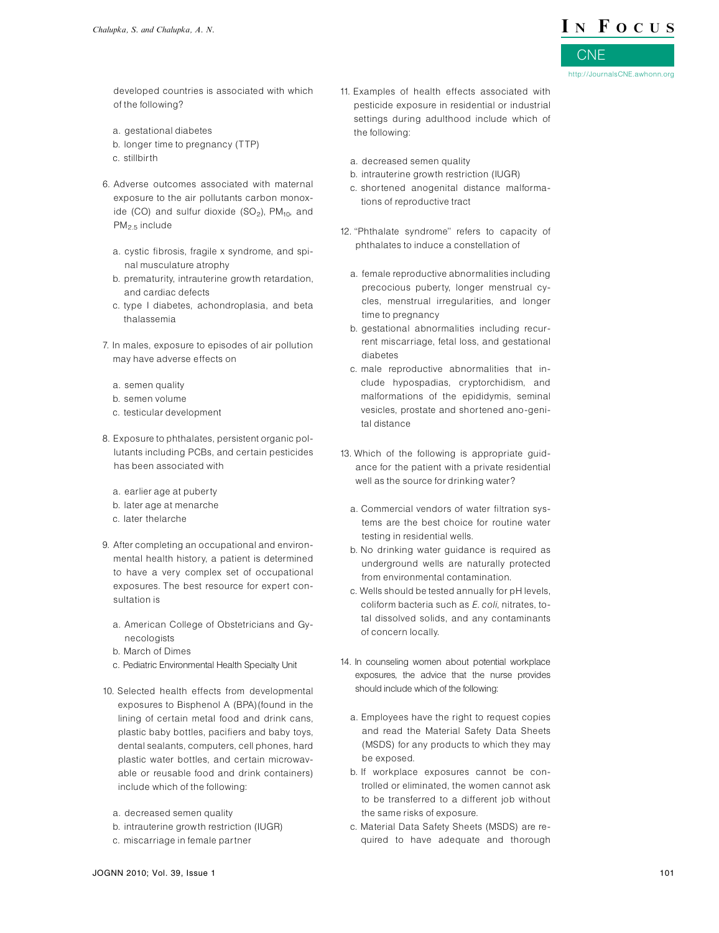developed countries is associated with which of the following?

- a. gestational diabetes
- b. longer time to pregnancy (TTP)
- c. stillbirth
- 6. Adverse outcomes associated with maternal exposure to the air pollutants carbon monoxide (CO) and sulfur dioxide  $(SO<sub>2</sub>)$ , PM<sub>10</sub>, and PM2.5 include
	- a. cystic fibrosis, fragile x syndrome, and spinal musculature atrophy
	- b. prematurity, intrauterine growth retardation, and cardiac defects
	- c. type I diabetes, achondroplasia, and beta thalassemia
- 7. In males, exposure to episodes of air pollution may have adverse effects on
	- a. semen quality
	- b. semen volume
	- c. testicular development
- 8. Exposure to phthalates, persistent organic pollutants including PCBs, and certain pesticides has been associated with
	- a. earlier age at puberty
	- b. later age at menarche
	- c. later thelarche
- 9. After completing an occupational and environmental health history, a patient is determined to have a very complex set of occupational exposures. The best resource for expert consultation is
	- a. American College of Obstetricians and Gynecologists
	- b. March of Dimes
	- c. Pediatric Environmental Health Specialty Unit
- 10. Selected health effects from developmental exposures to Bisphenol A (BPA)(found in the lining of certain metal food and drink cans, plastic baby bottles, pacifiers and baby toys, dental sealants, computers, cell phones, hard plastic water bottles, and certain microwavable or reusable food and drink containers) include which of the following:
	- a. decreased semen quality
	- b. intrauterine growth restriction (IUGR)
	- c. miscarriage in female partner
- 11. Examples of health effects associated with pesticide exposure in residential or industrial settings during adulthood include which of the following:
	- a. decreased semen quality
	- b. intrauterine growth restriction (IUGR)
	- c. shortened anogenital distance malformations of reproductive tract
- 12. ''Phthalate syndrome'' refers to capacity of phthalates to induce a constellation of
	- a. female reproductive abnormalities including precocious puberty, longer menstrual cycles, menstrual irregularities, and longer time to pregnancy
	- b. gestational abnormalities including recurrent miscarriage, fetal loss, and gestational diabetes
	- c. male reproductive abnormalities that include hypospadias, cryptorchidism, and malformations of the epididymis, seminal vesicles, prostate and shortened ano-genital distance
- 13. Which of the following is appropriate guidance for the patient with a private residential well as the source for drinking water?
	- a. Commercial vendors of water filtration systems are the best choice for routine water testing in residential wells.
	- b. No drinking water guidance is required as underground wells are naturally protected from environmental contamination.
	- c. Wells should be tested annually for pH levels, coliform bacteria such as E. coli, nitrates, total dissolved solids, and any contaminants of concern locally.
- 14. In counseling women about potential workplace exposures, the advice that the nurse provides should include which of the following:
- a. Employees have the right to request copies and read the Material Safety Data Sheets (MSDS) for any products to which they may be exposed.
- b. If workplace exposures cannot be controlled or eliminated, the women cannot ask to be transferred to a different job without the same risks of exposure.
- c. Material Data Safety Sheets (MSDS) are required to have adequate and thorough